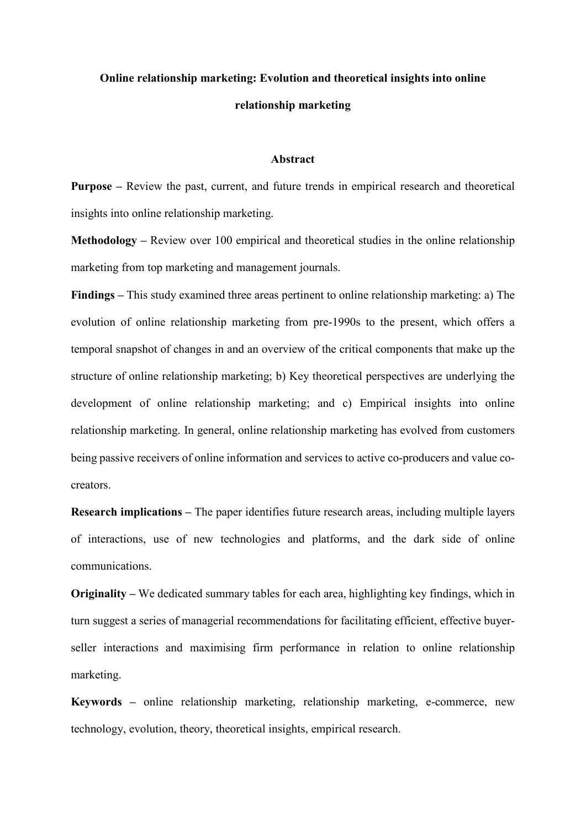# **Online relationship marketing: Evolution and theoretical insights into online relationship marketing**

#### **Abstract**

**Purpose –** Review the past, current, and future trends in empirical research and theoretical insights into online relationship marketing.

**Methodology –** Review over 100 empirical and theoretical studies in the online relationship marketing from top marketing and management journals.

**Findings –** This study examined three areas pertinent to online relationship marketing: a) The evolution of online relationship marketing from pre-1990s to the present, which offers a temporal snapshot of changes in and an overview of the critical components that make up the structure of online relationship marketing; b) Key theoretical perspectives are underlying the development of online relationship marketing; and c) Empirical insights into online relationship marketing. In general, online relationship marketing has evolved from customers being passive receivers of online information and services to active co-producers and value cocreators.

**Research implications –** The paper identifies future research areas, including multiple layers of interactions, use of new technologies and platforms, and the dark side of online communications.

**Originality –** We dedicated summary tables for each area, highlighting key findings, which in turn suggest a series of managerial recommendations for facilitating efficient, effective buyerseller interactions and maximising firm performance in relation to online relationship marketing.

**Keywords –** online relationship marketing, relationship marketing, e-commerce, new technology, evolution, theory, theoretical insights, empirical research.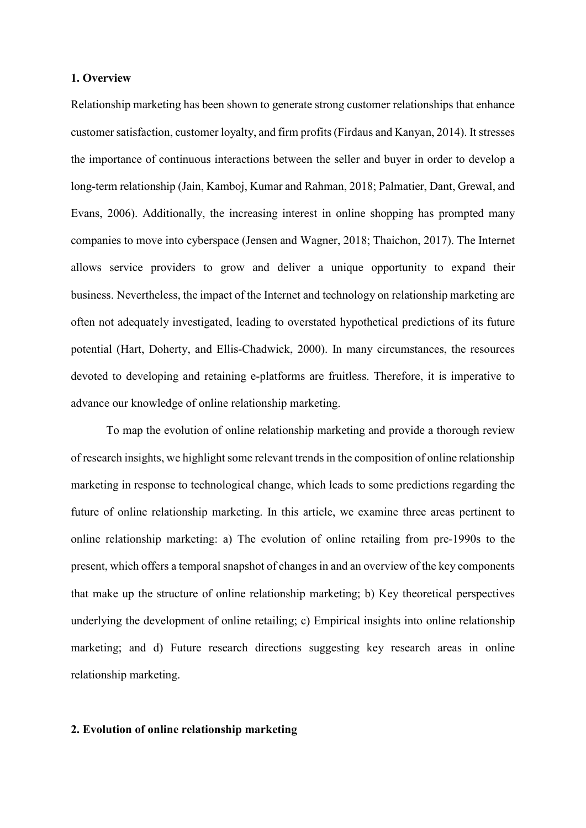#### **1. Overview**

Relationship marketing has been shown to generate strong customer relationships that enhance customer satisfaction, customer loyalty, and firm profits (Firdaus and Kanyan, 2014). It stresses the importance of continuous interactions between the seller and buyer in order to develop a long-term relationship (Jain, Kamboj, Kumar and Rahman, 2018; Palmatier, Dant, Grewal, and Evans, 2006). Additionally, the increasing interest in online shopping has prompted many companies to move into cyberspace (Jensen and Wagner, 2018; Thaichon, 2017). The Internet allows service providers to grow and deliver a unique opportunity to expand their business. Nevertheless, the impact of the Internet and technology on relationship marketing are often not adequately investigated, leading to overstated hypothetical predictions of its future potential (Hart, Doherty, and Ellis-Chadwick, 2000). In many circumstances, the resources devoted to developing and retaining e-platforms are fruitless. Therefore, it is imperative to advance our knowledge of online relationship marketing.

To map the evolution of online relationship marketing and provide a thorough review of research insights, we highlight some relevant trends in the composition of online relationship marketing in response to technological change, which leads to some predictions regarding the future of online relationship marketing. In this article, we examine three areas pertinent to online relationship marketing: a) The evolution of online retailing from pre-1990s to the present, which offers a temporal snapshot of changes in and an overview of the key components that make up the structure of online relationship marketing; b) Key theoretical perspectives underlying the development of online retailing; c) Empirical insights into online relationship marketing; and d) Future research directions suggesting key research areas in online relationship marketing.

### **2. Evolution of online relationship marketing**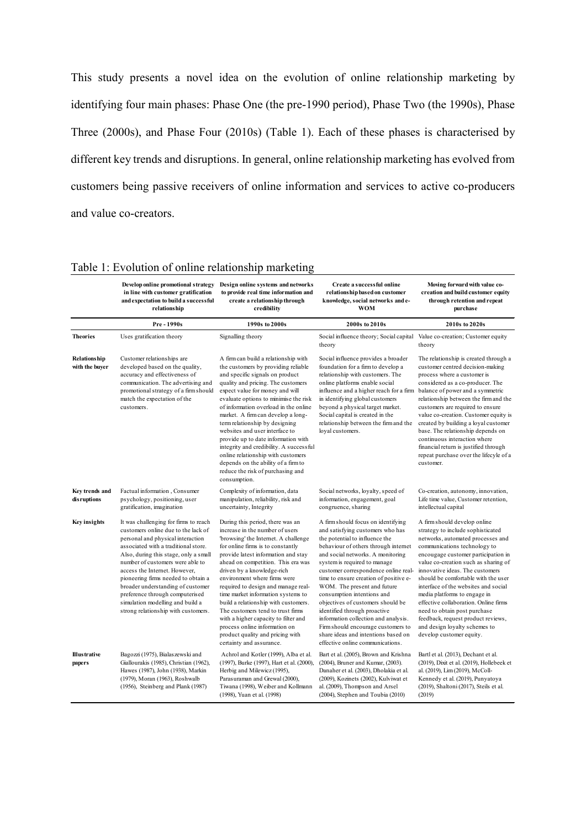This study presents a novel idea on the evolution of online relationship marketing by identifying four main phases: Phase One (the pre-1990 period), Phase Two (the 1990s), Phase Three (2000s), and Phase Four (2010s) (Table 1). Each of these phases is characterised by different key trends and disruptions. In general, online relationship marketing has evolved from customers being passive receivers of online information and services to active co-producers and value co-creators.

|                                       | in line with customer gratification<br>and expectation to build a successful<br>relationship                                                                                                                                                                                                                                                                                                                                                                      | Develop online promotional strategy Design online systems and networks<br>to provide real time information and<br>create a relationship through<br>credibility                                                                                                                                                                                                                                                                                                                                                                                                                                          | Create a successful online<br>relationship based on customer<br>knowledge, social networks and e-<br><b>WOM</b>                                                                                                                                                                                                                                                                                                                                                                                                                                                                                    | Moving forward with value co-<br>creation and build customer equity<br>through retention and repeat<br>purchase                                                                                                                                                                                                                                                                                                                                                                                                                                     |
|---------------------------------------|-------------------------------------------------------------------------------------------------------------------------------------------------------------------------------------------------------------------------------------------------------------------------------------------------------------------------------------------------------------------------------------------------------------------------------------------------------------------|---------------------------------------------------------------------------------------------------------------------------------------------------------------------------------------------------------------------------------------------------------------------------------------------------------------------------------------------------------------------------------------------------------------------------------------------------------------------------------------------------------------------------------------------------------------------------------------------------------|----------------------------------------------------------------------------------------------------------------------------------------------------------------------------------------------------------------------------------------------------------------------------------------------------------------------------------------------------------------------------------------------------------------------------------------------------------------------------------------------------------------------------------------------------------------------------------------------------|-----------------------------------------------------------------------------------------------------------------------------------------------------------------------------------------------------------------------------------------------------------------------------------------------------------------------------------------------------------------------------------------------------------------------------------------------------------------------------------------------------------------------------------------------------|
|                                       | Pre - 1990s                                                                                                                                                                                                                                                                                                                                                                                                                                                       | 1990s to 2000s                                                                                                                                                                                                                                                                                                                                                                                                                                                                                                                                                                                          | 2000s to 2010s                                                                                                                                                                                                                                                                                                                                                                                                                                                                                                                                                                                     | 2010s to 2020s                                                                                                                                                                                                                                                                                                                                                                                                                                                                                                                                      |
| <b>Theories</b>                       | Uses gratification theory                                                                                                                                                                                                                                                                                                                                                                                                                                         | Signalling theory                                                                                                                                                                                                                                                                                                                                                                                                                                                                                                                                                                                       | Social influence theory; Social capital<br>theory                                                                                                                                                                                                                                                                                                                                                                                                                                                                                                                                                  | Value co-creation; Customer equity<br>theory                                                                                                                                                                                                                                                                                                                                                                                                                                                                                                        |
| <b>Relationship</b><br>with the buyer | Customer relationships are<br>developed based on the quality,<br>accuracy and effectiveness of<br>communication. The advertising and<br>promotional strategy of a firm should<br>match the expectation of the<br>customers.                                                                                                                                                                                                                                       | A firm can build a relationship with<br>the customers by providing reliable<br>and specific signals on product<br>quality and pricing. The customers<br>expect value for money and will<br>evaluate options to minimise the risk<br>of information overload in the online<br>market. A firm can develop a long-<br>term relationship by designing<br>websites and user interface to<br>provide up to date information with<br>integrity and credibility. A successful<br>online relationship with customers<br>depends on the ability of a firm to<br>reduce the risk of purchasing and<br>consumption. | Social influence provides a broader<br>foundation for a firm to develop a<br>relationship with customers. The<br>online platforms enable social<br>influence and a higher reach for a firm<br>in identifying global customers<br>beyond a physical target market.<br>Social capital is created in the<br>relationship between the firm and the<br>loyal customers.                                                                                                                                                                                                                                 | The relationship is created through a<br>customer centred decision-making<br>process where a customer is<br>considered as a co-producer. The<br>balance of power and a symmetric<br>relationship between the firm and the<br>customers are required to ensure<br>value co-creation. Customer equity is<br>created by building a loyal customer<br>base. The relationship depends on<br>continuous interaction where<br>financial return is justified through<br>repeat purchase over the lifecyle of a<br>customer.                                 |
| Key trends and<br>disruptions         | Factual information, Consumer<br>psychology, positioning, user<br>gratification, imagination                                                                                                                                                                                                                                                                                                                                                                      | Complexity of information, data<br>manipulation, reliability, risk and<br>uncertainty, Integrity                                                                                                                                                                                                                                                                                                                                                                                                                                                                                                        | Social networks, loyalty, speed of<br>information, engagement, goal<br>congruence, sharing                                                                                                                                                                                                                                                                                                                                                                                                                                                                                                         | Co-creation, autonomy, innovation,<br>Life time value, Customer retention,<br>intellectual capital                                                                                                                                                                                                                                                                                                                                                                                                                                                  |
| <b>Key insights</b>                   | It was challenging for firms to reach<br>customers online due to the lack of<br>personal and physical interaction<br>associated with a traditional store.<br>Also, during this stage, only a small<br>number of customers were able to<br>access the Internet. However,<br>pioneering firms needed to obtain a<br>broader understanding of customer<br>preference through computerised<br>simulation modelling and build a<br>strong relationship with customers. | During this period, there was an<br>increase in the number of users<br>'browsing' the Internet. A challenge<br>for online firms is to constantly<br>provide latest information and stay<br>ahead on competition. This era was<br>driven by a knowledge-rich<br>environment where firms were<br>required to design and manage real-<br>time market information systems to<br>build a relationship with customers.<br>The customers tend to trust firms<br>with a higher capacity to filter and<br>process online information on<br>product quality and pricing with<br>certainty and assurance.          | A firm should focus on identifying<br>and satisfying customers who has<br>the potential to influence the<br>behaviour of others through internet<br>and social networks. A monitoring<br>system is required to manage<br>customer correspondence online real-<br>time to ensure creation of positive e-<br>WOM. The present and future<br>consumption intentions and<br>objectives of customers should be<br>identified through proactive<br>information collection and analysis.<br>Firm should encourage customers to<br>share ideas and intentions based on<br>effective online communications. | A firm should develop online<br>strategy to include sophisticated<br>networks, automated processes and<br>communications technology to<br>encougage customer participation in<br>value co-creation such as sharing of<br>innovative ideas. The customers<br>should be comfortable with the user<br>interface of the websites and social<br>media platforms to engage in<br>effective collaboration. Online firms<br>need to obtain post purchase<br>feedback, request product reviews,<br>and design loyalty schemes to<br>develop customer equity. |
| <b>Illustrative</b><br>papers         | Bagozzi (1975), Bialaszewski and<br>Giallourakis (1985), Christian (1962),<br>Hawes (1987), John (1938), Markin<br>(1979), Moran (1963), Roshwalb<br>(1956), Steinberg and Plank (1987)                                                                                                                                                                                                                                                                           | Achrol and Kotler (1999), Alba et al.<br>(1997), Burke (1997), Hart et al. (2000),<br>Herbig and Milewicz (1995),<br>Parasuraman and Grewal (2000),<br>Tiwana (1998), Weiber and Kollmann<br>(1998), Yuan et al. (1998)                                                                                                                                                                                                                                                                                                                                                                                 | Bart et al. (2005), Brown and Krishna<br>(2004), Bruner and Kumar, (2003).<br>Danaher et al. (2003), Dholakia et al.<br>(2009), Kozinets (2002), Kulviwat et<br>al. (2009), Thompson and Arsel<br>(2004), Stephen and Toubia (2010)                                                                                                                                                                                                                                                                                                                                                                | Bartl et al. (2013), Dechant et al.<br>(2019), Dixit et al. (2019), Hollebeek et<br>al. (2019), Lim (2019), McColl-<br>Kennedy et al. (2019), Punyatoya<br>(2019), Shaltoni (2017), Steils et al.<br>(2019)                                                                                                                                                                                                                                                                                                                                         |

### Table 1: Evolution of online relationship marketing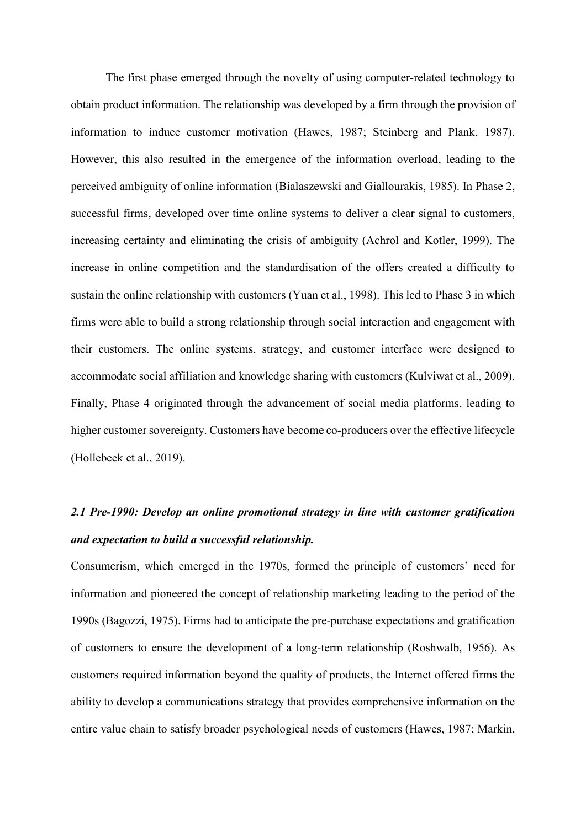The first phase emerged through the novelty of using computer-related technology to obtain product information. The relationship was developed by a firm through the provision of information to induce customer motivation (Hawes, 1987; Steinberg and Plank, 1987). However, this also resulted in the emergence of the information overload, leading to the perceived ambiguity of online information (Bialaszewski and Giallourakis, 1985). In Phase 2, successful firms, developed over time online systems to deliver a clear signal to customers, increasing certainty and eliminating the crisis of ambiguity (Achrol and Kotler, 1999). The increase in online competition and the standardisation of the offers created a difficulty to sustain the online relationship with customers (Yuan et al., 1998). This led to Phase 3 in which firms were able to build a strong relationship through social interaction and engagement with their customers. The online systems, strategy, and customer interface were designed to accommodate social affiliation and knowledge sharing with customers (Kulviwat et al., 2009). Finally, Phase 4 originated through the advancement of social media platforms, leading to higher customer sovereignty. Customers have become co-producers over the effective lifecycle (Hollebeek et al., 2019).

# *2.1 Pre-1990: Develop an online promotional strategy in line with customer gratification and expectation to build a successful relationship.*

Consumerism, which emerged in the 1970s, formed the principle of customers' need for information and pioneered the concept of relationship marketing leading to the period of the 1990s (Bagozzi, 1975). Firms had to anticipate the pre-purchase expectations and gratification of customers to ensure the development of a long-term relationship (Roshwalb, 1956). As customers required information beyond the quality of products, the Internet offered firms the ability to develop a communications strategy that provides comprehensive information on the entire value chain to satisfy broader psychological needs of customers (Hawes, 1987; Markin,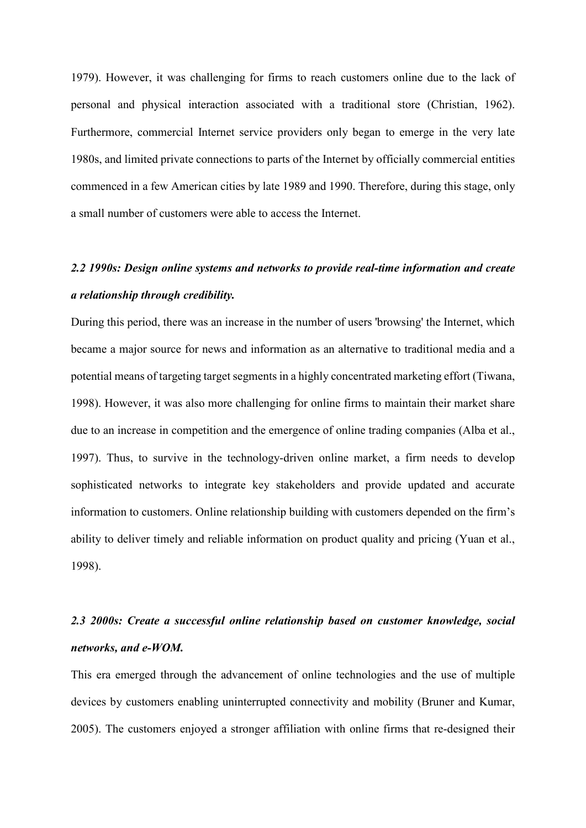1979). However, it was challenging for firms to reach customers online due to the lack of personal and physical interaction associated with a traditional store (Christian, 1962). Furthermore, commercial Internet service providers only began to emerge in the very late 1980s, and limited private connections to parts of the Internet by officially commercial entities commenced in a few American cities by late 1989 and 1990. Therefore, during this stage, only a small number of customers were able to access the Internet.

# *2.2 1990s: Design online systems and networks to provide real-time information and create a relationship through credibility.*

During this period, there was an increase in the number of users 'browsing' the Internet, which became a major source for news and information as an alternative to traditional media and a potential means of targeting target segments in a highly concentrated marketing effort (Tiwana, 1998). However, it was also more challenging for online firms to maintain their market share due to an increase in competition and the emergence of online trading companies (Alba et al., 1997). Thus, to survive in the technology-driven online market, a firm needs to develop sophisticated networks to integrate key stakeholders and provide updated and accurate information to customers. Online relationship building with customers depended on the firm's ability to deliver timely and reliable information on product quality and pricing (Yuan et al., 1998).

# *2.3 2000s: Create a successful online relationship based on customer knowledge, social networks, and e-WOM.*

This era emerged through the advancement of online technologies and the use of multiple devices by customers enabling uninterrupted connectivity and mobility (Bruner and Kumar, 2005). The customers enjoyed a stronger affiliation with online firms that re-designed their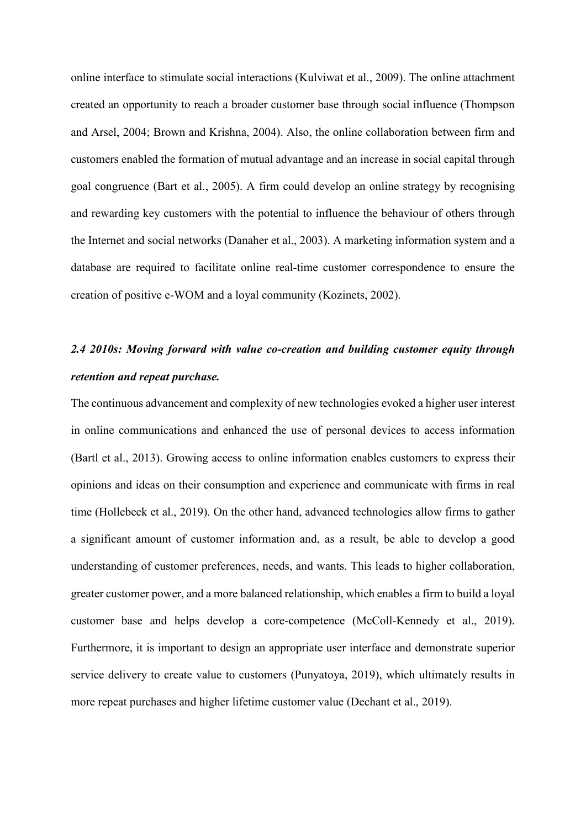online interface to stimulate social interactions (Kulviwat et al., 2009). The online attachment created an opportunity to reach a broader customer base through social influence (Thompson and Arsel, 2004; Brown and Krishna, 2004). Also, the online collaboration between firm and customers enabled the formation of mutual advantage and an increase in social capital through goal congruence (Bart et al., 2005). A firm could develop an online strategy by recognising and rewarding key customers with the potential to influence the behaviour of others through the Internet and social networks (Danaher et al., 2003). A marketing information system and a database are required to facilitate online real-time customer correspondence to ensure the creation of positive e-WOM and a loyal community (Kozinets, 2002).

# *2.4 2010s: Moving forward with value co-creation and building customer equity through retention and repeat purchase.*

The continuous advancement and complexity of new technologies evoked a higher user interest in online communications and enhanced the use of personal devices to access information (Bartl et al., 2013). Growing access to online information enables customers to express their opinions and ideas on their consumption and experience and communicate with firms in real time (Hollebeek et al., 2019). On the other hand, advanced technologies allow firms to gather a significant amount of customer information and, as a result, be able to develop a good understanding of customer preferences, needs, and wants. This leads to higher collaboration, greater customer power, and a more balanced relationship, which enables a firm to build a loyal customer base and helps develop a core-competence (McColl-Kennedy et al., 2019). Furthermore, it is important to design an appropriate user interface and demonstrate superior service delivery to create value to customers (Punyatoya, 2019), which ultimately results in more repeat purchases and higher lifetime customer value (Dechant et al., 2019).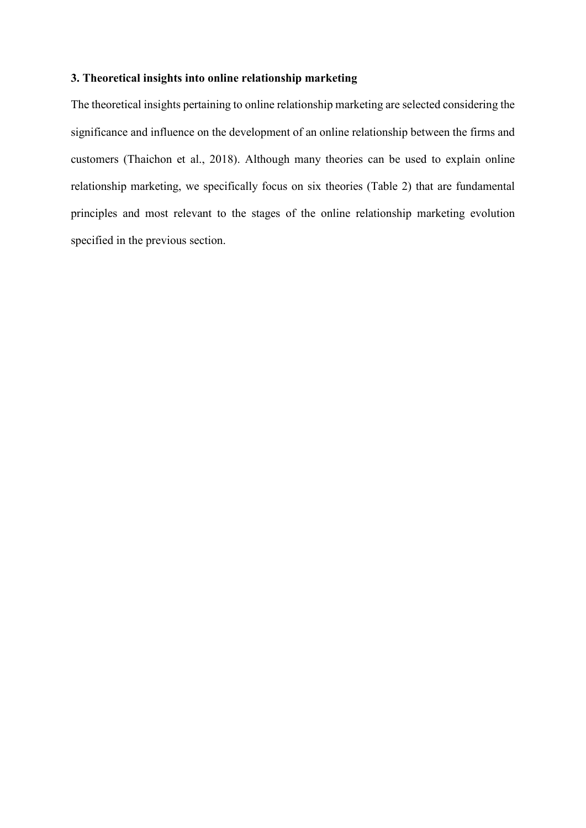## **3. Theoretical insights into online relationship marketing**

The theoretical insights pertaining to online relationship marketing are selected considering the significance and influence on the development of an online relationship between the firms and customers (Thaichon et al., 2018). Although many theories can be used to explain online relationship marketing, we specifically focus on six theories (Table 2) that are fundamental principles and most relevant to the stages of the online relationship marketing evolution specified in the previous section.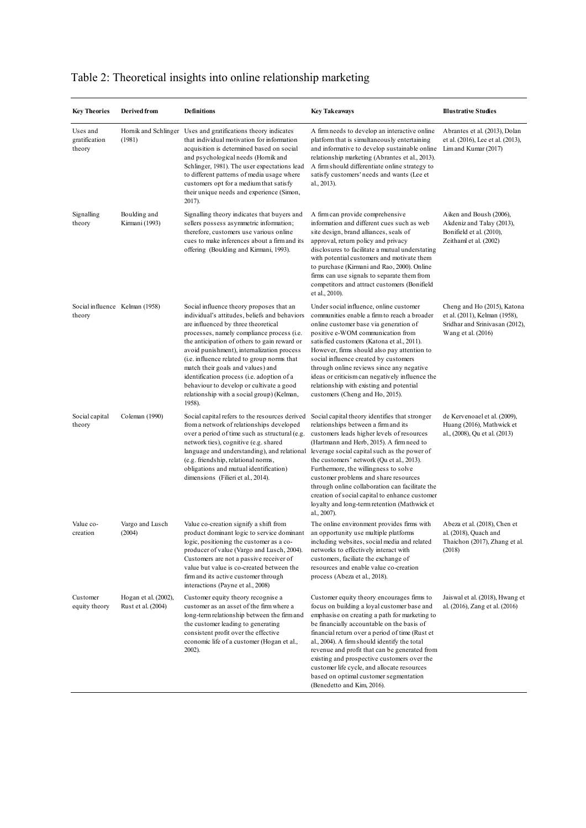| <b>Key Theories</b>                      | Derived from                               | <b>Definitions</b>                                                                                                                                                                                                                                                                                                                                                                                                                                                                                                 | <b>Key Takeaways</b>                                                                                                                                                                                                                                                                                                                                                                                                                                                                                                                 | <b>Illustrative Studies</b>                                                                                          |
|------------------------------------------|--------------------------------------------|--------------------------------------------------------------------------------------------------------------------------------------------------------------------------------------------------------------------------------------------------------------------------------------------------------------------------------------------------------------------------------------------------------------------------------------------------------------------------------------------------------------------|--------------------------------------------------------------------------------------------------------------------------------------------------------------------------------------------------------------------------------------------------------------------------------------------------------------------------------------------------------------------------------------------------------------------------------------------------------------------------------------------------------------------------------------|----------------------------------------------------------------------------------------------------------------------|
| Uses and<br>gratification<br>theory      | Hornik and Schlinger<br>(1981)             | Uses and gratifications theory indicates<br>that individual motivation for information<br>acquisition is determined based on social<br>and psychological needs (Hornik and<br>Schlinger, 1981). The user expectations lead<br>to different patterns of media usage where<br>customers opt for a medium that satisfy<br>their unique needs and experience (Simon,<br>2017).                                                                                                                                         | A firm needs to develop an interactive online<br>platform that is simultaneously entertaining<br>and informative to develop sustainable online<br>relationship marketing (Abrantes et al., 2013).<br>A firm should differentiate online strategy to<br>satisfy customers' needs and wants (Lee et<br>al., 2013).                                                                                                                                                                                                                     | Abrantes et al. (2013), Dolan<br>et al. (2016), Lee et al. (2013),<br>Lim and Kumar (2017)                           |
| Signalling<br>theory                     | Boulding and<br>Kirmani (1993)             | Signalling theory indicates that buyers and<br>sellers possess asymmetric information;<br>therefore, customers use various online<br>cues to make inferences about a firm and its<br>offering (Boulding and Kirmani, 1993).                                                                                                                                                                                                                                                                                        | A firm can provide comprehensive<br>information and different cues such as web<br>site design, brand alliances, seals of<br>approval, return policy and privacy<br>disclosures to facilitate a mutual understating<br>with potential customers and motivate them<br>to purchase (Kirmani and Rao, 2000). Online<br>firms can use signals to separate them from<br>competitors and attract customers (Bonifield<br>et al., 2010).                                                                                                     | Aiken and Boush (2006),<br>Akdeniz and Talay (2013),<br>Bonifield et al. (2010),<br>Zeithaml et al. (2002)           |
| Social influence Kelman (1958)<br>theory |                                            | Social influence theory proposes that an<br>individual's attitudes, beliefs and behaviors<br>are influenced by three theoretical<br>processes, namely compliance process (i.e.<br>the anticipation of others to gain reward or<br>avoid punishment), internalization process<br>(i.e. influence related to group norms that<br>match their goals and values) and<br>identification process (i.e. adoption of a<br>behaviour to develop or cultivate a good<br>relationship with a social group) (Kelman,<br>1958). | Under social influence, online customer<br>communities enable a firm to reach a broader<br>online customer base via generation of<br>positive e-WOM communication from<br>satisfied customers (Katona et al., 2011).<br>However, firms should also pay attention to<br>social influence created by customers<br>through online reviews since any negative<br>ideas or criticism can negatively influence the<br>relationship with existing and potential<br>customers (Cheng and Ho, 2015).                                          | Cheng and Ho (2015), Katona<br>et al. (2011), Kelman (1958),<br>Sridhar and Srinivasan (2012),<br>Wang et al. (2016) |
| Social capital<br>theory                 | Coleman (1990)                             | Social capital refers to the resources derived<br>from a network of relationships developed<br>over a period of time such as structural (e.g.<br>network ties), cognitive (e.g. shared<br>language and understanding), and relational<br>(e.g. friendship, relational norms,<br>obligations and mutual identification)<br>dimensions (Filieri et al., 2014).                                                                                                                                                       | Social capital theory identifies that stronger<br>relationships between a firm and its<br>customers leads higher levels of resources<br>(Hartmann and Herb, 2015). A firm need to<br>leverage social capital such as the power of<br>the customers' network (Qu et al., 2013).<br>Furthermore, the willingness to solve<br>customer problems and share resources<br>through online collaboration can facilitate the<br>creation of social capital to enhance customer<br>loyalty and long-term retention (Mathwick et<br>al., 2007). | de Kervenoael et al. (2009),<br>Huang (2016), Mathwick et<br>al., (2008), Qu et al. (2013)                           |
| Value co-<br>creation                    | Vargo and Lusch<br>(2004)                  | Value co-creation signify a shift from<br>product dominant logic to service dominant<br>logic, positioning the customer as a co-<br>producer of value (Vargo and Lusch, 2004).<br>Customers are not a passive receiver of<br>value but value is co-created between the<br>firm and its active customer through<br>interactions (Payne et al., 2008)                                                                                                                                                                | The online environment provides firms with<br>an opportunity use multiple platforms<br>including websites, social media and related<br>networks to effectively interact with<br>customers, faciliate the exchange of<br>resources and enable value co-creation<br>process (Abeza et al., 2018).                                                                                                                                                                                                                                      | Abeza et al. (2018), Chen et<br>al. (2018), Quach and<br>Thaichon (2017), Zhang et al.<br>(2018)                     |
| Customer<br>equity theory                | Hogan et al. (2002),<br>Rust et al. (2004) | Customer equity theory recognise a<br>customer as an asset of the firm where a<br>long-term relationship between the firm and<br>the customer leading to generating<br>consistent profit over the effective<br>economic life of a customer (Hogan et al.,<br>$2002$ ).                                                                                                                                                                                                                                             | Customer equity theory encourages firms to<br>focus on building a loyal customer base and<br>emphasise on creating a path for marketing to<br>be financially accountable on the basis of<br>financial return over a period of time (Rust et<br>al., 2004). A firm should identify the total<br>revenue and profit that can be generated from<br>existing and prospective customers over the<br>customer life cycle, and allocate resources<br>based on optimal customer segmentation<br>(Benedetto and Kim, 2016).                   | Jais wal et al. (2018), Hwang et<br>al. (2016), Zang et al. (2016)                                                   |

## Table 2: Theoretical insights into online relationship marketing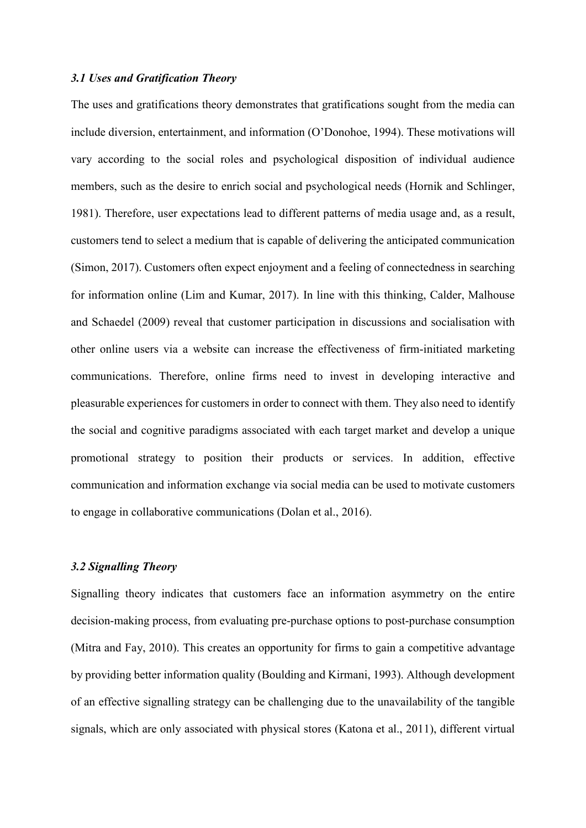### *3.1 Uses and Gratification Theory*

The uses and gratifications theory demonstrates that gratifications sought from the media can include diversion, entertainment, and information (O'Donohoe, 1994). These motivations will vary according to the social roles and psychological disposition of individual audience members, such as the desire to enrich social and psychological needs (Hornik and Schlinger, 1981). Therefore, user expectations lead to different patterns of media usage and, as a result, customers tend to select a medium that is capable of delivering the anticipated communication (Simon, 2017). Customers often expect enjoyment and a feeling of connectedness in searching for information online (Lim and Kumar, 2017). In line with this thinking, Calder, Malhouse and Schaedel (2009) reveal that customer participation in discussions and socialisation with other online users via a website can increase the effectiveness of firm-initiated marketing communications. Therefore, online firms need to invest in developing interactive and pleasurable experiences for customers in order to connect with them. They also need to identify the social and cognitive paradigms associated with each target market and develop a unique promotional strategy to position their products or services. In addition, effective communication and information exchange via social media can be used to motivate customers to engage in collaborative communications (Dolan et al., 2016).

## *3.2 Signalling Theory*

Signalling theory indicates that customers face an information asymmetry on the entire decision-making process, from evaluating pre-purchase options to post-purchase consumption (Mitra and Fay, 2010). This creates an opportunity for firms to gain a competitive advantage by providing better information quality (Boulding and Kirmani, 1993). Although development of an effective signalling strategy can be challenging due to the unavailability of the tangible signals, which are only associated with physical stores (Katona et al., 2011), different virtual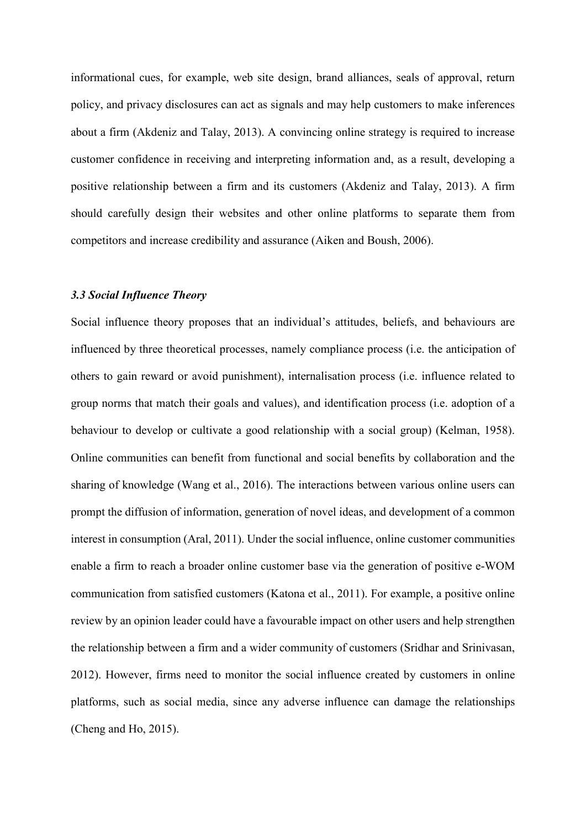informational cues, for example, web site design, brand alliances, seals of approval, return policy, and privacy disclosures can act as signals and may help customers to make inferences about a firm (Akdeniz and Talay, 2013). A convincing online strategy is required to increase customer confidence in receiving and interpreting information and, as a result, developing a positive relationship between a firm and its customers (Akdeniz and Talay, 2013). A firm should carefully design their websites and other online platforms to separate them from competitors and increase credibility and assurance (Aiken and Boush, 2006).

#### *3.3 Social Influence Theory*

Social influence theory proposes that an individual's attitudes, beliefs, and behaviours are influenced by three theoretical processes, namely compliance process (i.e. the anticipation of others to gain reward or avoid punishment), internalisation process (i.e. influence related to group norms that match their goals and values), and identification process (i.e. adoption of a behaviour to develop or cultivate a good relationship with a social group) (Kelman, 1958). Online communities can benefit from functional and social benefits by collaboration and the sharing of knowledge (Wang et al., 2016). The interactions between various online users can prompt the diffusion of information, generation of novel ideas, and development of a common interest in consumption (Aral, 2011). Under the social influence, online customer communities enable a firm to reach a broader online customer base via the generation of positive e-WOM communication from satisfied customers (Katona et al., 2011). For example, a positive online review by an opinion leader could have a favourable impact on other users and help strengthen the relationship between a firm and a wider community of customers (Sridhar and Srinivasan, 2012). However, firms need to monitor the social influence created by customers in online platforms, such as social media, since any adverse influence can damage the relationships (Cheng and Ho, 2015).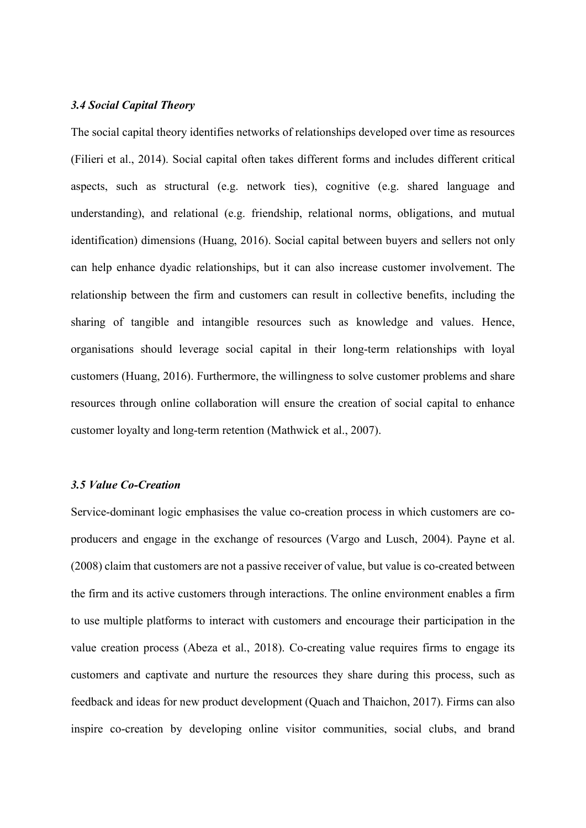## *3.4 Social Capital Theory*

The social capital theory identifies networks of relationships developed over time as resources (Filieri et al., 2014). Social capital often takes different forms and includes different critical aspects, such as structural (e.g. network ties), cognitive (e.g. shared language and understanding), and relational (e.g. friendship, relational norms, obligations, and mutual identification) dimensions (Huang, 2016). Social capital between buyers and sellers not only can help enhance dyadic relationships, but it can also increase customer involvement. The relationship between the firm and customers can result in collective benefits, including the sharing of tangible and intangible resources such as knowledge and values. Hence, organisations should leverage social capital in their long-term relationships with loyal customers (Huang, 2016). Furthermore, the willingness to solve customer problems and share resources through online collaboration will ensure the creation of social capital to enhance customer loyalty and long-term retention (Mathwick et al., 2007).

#### *3.5 Value Co-Creation*

Service-dominant logic emphasises the value co-creation process in which customers are coproducers and engage in the exchange of resources (Vargo and Lusch, 2004). Payne et al. (2008) claim that customers are not a passive receiver of value, but value is co-created between the firm and its active customers through interactions. The online environment enables a firm to use multiple platforms to interact with customers and encourage their participation in the value creation process (Abeza et al., 2018). Co-creating value requires firms to engage its customers and captivate and nurture the resources they share during this process, such as feedback and ideas for new product development (Quach and Thaichon, 2017). Firms can also inspire co-creation by developing online visitor communities, social clubs, and brand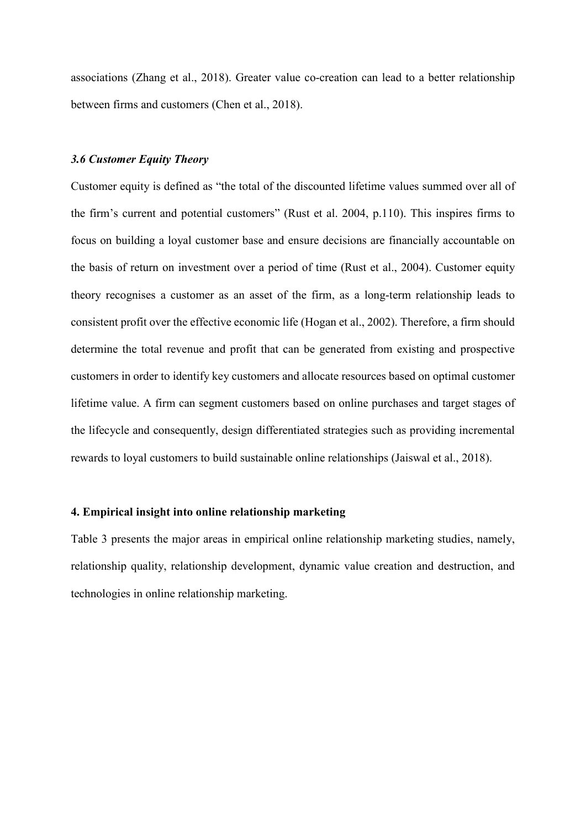associations (Zhang et al., 2018). Greater value co-creation can lead to a better relationship between firms and customers (Chen et al., 2018).

#### *3.6 Customer Equity Theory*

Customer equity is defined as "the total of the discounted lifetime values summed over all of the firm's current and potential customers" (Rust et al. 2004, p.110). This inspires firms to focus on building a loyal customer base and ensure decisions are financially accountable on the basis of return on investment over a period of time (Rust et al., 2004). Customer equity theory recognises a customer as an asset of the firm, as a long-term relationship leads to consistent profit over the effective economic life (Hogan et al., 2002). Therefore, a firm should determine the total revenue and profit that can be generated from existing and prospective customers in order to identify key customers and allocate resources based on optimal customer lifetime value. A firm can segment customers based on online purchases and target stages of the lifecycle and consequently, design differentiated strategies such as providing incremental rewards to loyal customers to build sustainable online relationships (Jaiswal et al., 2018).

## **4. Empirical insight into online relationship marketing**

Table 3 presents the major areas in empirical online relationship marketing studies, namely, relationship quality, relationship development, dynamic value creation and destruction, and technologies in online relationship marketing.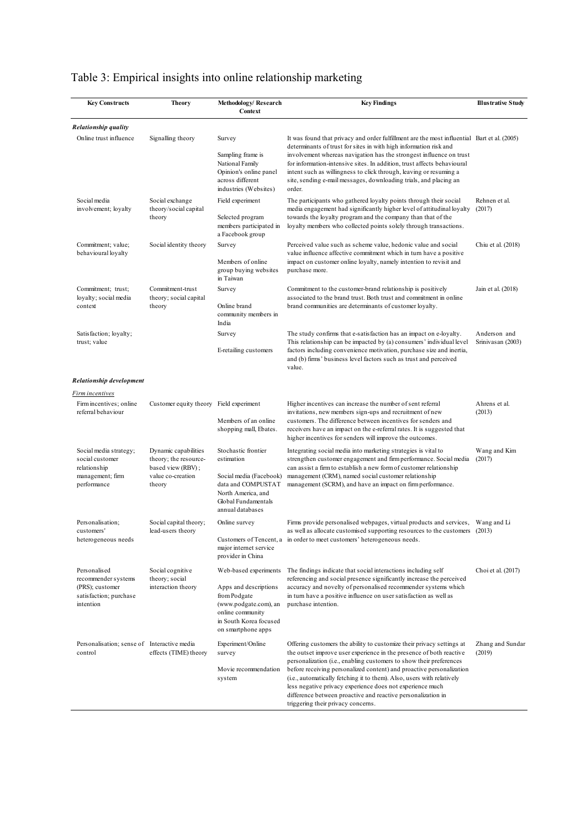## Table 3: Empirical insights into online relationship marketing

| <b>Key Constructs</b>                                                                         | <b>Theory</b>                                                                                     | Methodology/Research<br>Context                                                                                                                             | <b>Key Findings</b>                                                                                                                                                                                                                                                                                                                                                                                                                                                                                                                      | <b>Illustrative Study</b>         |
|-----------------------------------------------------------------------------------------------|---------------------------------------------------------------------------------------------------|-------------------------------------------------------------------------------------------------------------------------------------------------------------|------------------------------------------------------------------------------------------------------------------------------------------------------------------------------------------------------------------------------------------------------------------------------------------------------------------------------------------------------------------------------------------------------------------------------------------------------------------------------------------------------------------------------------------|-----------------------------------|
| Relationship quality                                                                          |                                                                                                   |                                                                                                                                                             |                                                                                                                                                                                                                                                                                                                                                                                                                                                                                                                                          |                                   |
| Online trust influence                                                                        | Signalling theory                                                                                 | Survey<br>Sampling frame is<br>National Family<br>Opinion's online panel<br>across different<br>industries (Websites)                                       | It was found that privacy and order fulfillment are the most influential Bart et al. (2005)<br>determinants of trust for sites in with high information risk and<br>involvement whereas navigation has the strongest influence on trust<br>for information-intensive sites. In addition, trust affects behavioural<br>intent such as willingness to click through, leaving or resuming a<br>site, sending e-mail messages, downloading trials, and placing an<br>order.                                                                  |                                   |
| Social media<br>involvement; loyalty                                                          | Social exchange<br>theory/social capital<br>theory                                                | Field experiment<br>Selected program<br>members participated in<br>a Facebook group                                                                         | The participants who gathered loyalty points through their social<br>media engagement had significantly higher level of attitudinal loyalty<br>towards the loyalty program and the company than that of the<br>loyalty members who collected points solely through transactions.                                                                                                                                                                                                                                                         | Rehnen et al.<br>(2017)           |
| Commitment; value;<br>behavioural loyalty                                                     | Social identity theory                                                                            | Survey<br>Members of online<br>group buying websites<br>in Taiwan                                                                                           | Perceived value such as scheme value, hedonic value and social<br>value influence affective commitment which in turn have a positive<br>impact on customer online loyalty, namely intention to revisit and<br>purchase more.                                                                                                                                                                                                                                                                                                             | Chiu et al. (2018)                |
| Commitment; trust;<br>loyalty; social media<br>context                                        | Commitment-trust<br>theory; social capital<br>theory                                              | Survey<br>Online brand<br>community members in<br>India                                                                                                     | Commitment to the customer-brand relationship is positively<br>associated to the brand trust. Both trust and commitment in online<br>brand communities are determinants of customer loyalty.                                                                                                                                                                                                                                                                                                                                             | Jain et al. (2018)                |
| Satisfaction; loyalty;<br>trust; value                                                        |                                                                                                   | Survey<br>E-retailing customers                                                                                                                             | The study confirms that e-satisfaction has an impact on e-loyalty.<br>This relationship can be impacted by (a) consumers' individual level<br>factors including convenience motivation, purchase size and inertia,<br>and (b) firms' business level factors such as trust and perceived<br>value.                                                                                                                                                                                                                                        | Anderson and<br>Srinivasan (2003) |
| Relationship development                                                                      |                                                                                                   |                                                                                                                                                             |                                                                                                                                                                                                                                                                                                                                                                                                                                                                                                                                          |                                   |
| Firm incentives<br>Firm incentives; online<br>referral behaviour                              | Customer equity theory Field experiment                                                           | Members of an online<br>shopping mall, Ebates.                                                                                                              | Higher incentives can increase the number of sent referral<br>invitations, new members sign-ups and recruitment of new<br>customers. The difference between incentives for senders and<br>receivers have an impact on the e-referral rates. It is suggested that<br>higher incentives for senders will improve the outcomes.                                                                                                                                                                                                             | Ahrens et al.<br>(2013)           |
| Social media strategy;<br>social customer<br>relationship<br>management; firm<br>performance  | Dynamic capabilities<br>theory; the resource-<br>based view (RBV);<br>value co-creation<br>theory | Stochastic frontier<br>estimation<br>Social media (Facebook)<br>data and COMPUSTAT<br>North America, and<br>Global Fundamentals<br>annual databases         | Integrating social media into marketing strategies is vital to<br>strengthen customer engagement and firm performance. Social media<br>can assist a firm to establish a new form of customer relationship<br>management (CRM), named social customer relationship<br>management (SCRM), and have an impact on firm performance.                                                                                                                                                                                                          | Wang and Kim<br>(2017)            |
| Personalisation:<br>customers'<br>heterogeneous needs                                         | Social capital theory;<br>lead-users theory                                                       | Online survey<br>major internet service<br>provider in China                                                                                                | Firms provide personalised webpages, virtual products and services, Wang and Li<br>as well as allocate customised supporting resources to the customers (2013)<br>Customers of Tencent, a in order to meet customers' heterogeneous needs.                                                                                                                                                                                                                                                                                               |                                   |
| Personalised<br>recommender systems<br>(PRS); customer<br>satisfaction; purchase<br>intention | Social cognitive<br>theory; social<br>interaction theory                                          | Web-based experiments<br>Apps and descriptions<br>from Podgate<br>(www.podgate.com), an<br>online community<br>in South Korea focused<br>on smartphone apps | The findings indicate that social interactions including self<br>referencing and social presence significantly increase the perceived<br>accuracy and novelty of personalised recommender systems which<br>in turn have a positive influence on user satisfaction as well as<br>purchase intention.                                                                                                                                                                                                                                      | Choi et al. (2017)                |
| Personalisation; sense of Interactive media<br>control                                        | effects (TIME) theory                                                                             | Experiment/Online<br>survey<br>Movie recommendation<br>system                                                                                               | Offering customers the ability to customize their privacy settings at<br>the outset improve user experience in the presence of both reactive<br>personalization (i.e., enabling customers to show their preferences<br>before receiving personalized content) and proactive personalization<br>(i.e., automatically fetching it to them). Also, users with relatively<br>less negative privacy experience does not experience much<br>difference between proactive and reactive personalization in<br>triggering their privacy concerns. | Zhang and Sundar<br>(2019)        |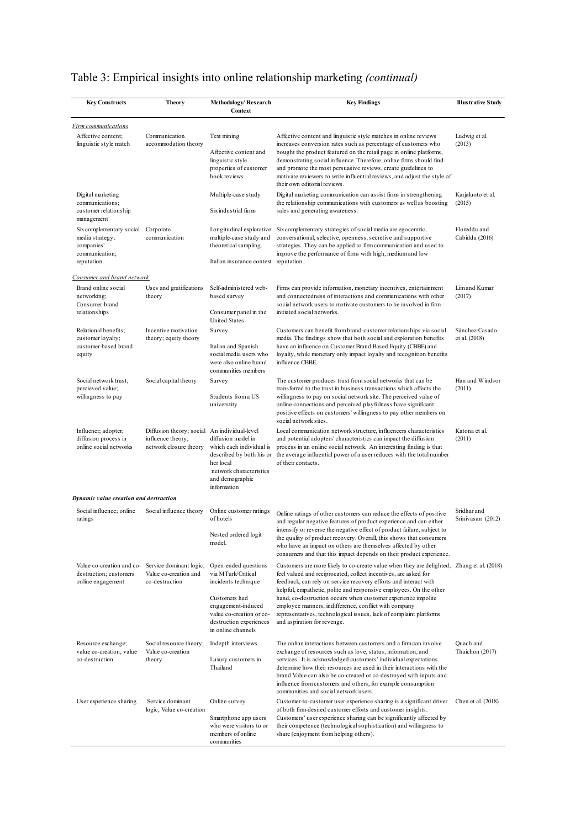## Table 3: Empirical insights into online relationship marketing *(continual)*

| <b>Key Constructs</b>                                                                               | <b>Theory</b>                                                                               | Methodology/Research<br>Context                                                                                                                                                       | <b>Key Findings</b>                                                                                                                                                                                                                                                                                                                                                                                                                                                                                                                   | <b>Illustrative Study</b>        |
|-----------------------------------------------------------------------------------------------------|---------------------------------------------------------------------------------------------|---------------------------------------------------------------------------------------------------------------------------------------------------------------------------------------|---------------------------------------------------------------------------------------------------------------------------------------------------------------------------------------------------------------------------------------------------------------------------------------------------------------------------------------------------------------------------------------------------------------------------------------------------------------------------------------------------------------------------------------|----------------------------------|
| Firm communications                                                                                 |                                                                                             |                                                                                                                                                                                       |                                                                                                                                                                                                                                                                                                                                                                                                                                                                                                                                       |                                  |
| Affective content;<br>linguistic style match                                                        | Communication<br>accommodation theory                                                       | Text mining<br>Affective content and<br>linguistic style<br>properties of customer<br>book reviews                                                                                    | Affective content and linguistic style matches in online reviews<br>increases conversion rates such as percentage of customers who<br>bought the product featured on the retail page in online platforms,<br>demonstrating social influence. Therefore, online firms should find<br>and promote the most persuasive reviews, create guidelines to<br>motivate reviewers to write influential reviews, and adjust the style of<br>their own editorial reviews.                                                                         | Ludwig et al.<br>(2013)          |
| Digital marketing<br>communications;<br>customer relationship<br>management                         |                                                                                             | Multiple-case study<br>Six industrial firms                                                                                                                                           | Digital marketing communication can assist firms in strengthening<br>the relationship communications with customers as well as boosting<br>sales and generating awareness.                                                                                                                                                                                                                                                                                                                                                            | Karjaluoto et al.<br>(2015)      |
| Six complementary social<br>media strategy;<br>companies'<br>communication;<br>reputation           | Corporate<br>communication                                                                  | multiple-case study and<br>theoretical sampling.<br>Italian insurance context reputation.                                                                                             | Longitudinal explorative Six complementary strategies of social media are egocentric,<br>conversational, selective, openness, secretive and supportive<br>strategies. They can be applied to firm communication and used to<br>improve the performance of firms with high, medium and low                                                                                                                                                                                                                                             | Floreddu and<br>Cabiddu (2016)   |
|                                                                                                     |                                                                                             |                                                                                                                                                                                       |                                                                                                                                                                                                                                                                                                                                                                                                                                                                                                                                       |                                  |
| Consumer and brand network<br>Brand online social<br>networking;<br>Consumer-brand<br>relationships | Uses and gratifications<br>theory                                                           | Self-administered web-<br>based survey<br>Consumer panel in the<br><b>United States</b>                                                                                               | Firms can provide information, monetary incentives, entertainment<br>and connectedness of interactions and communications with other<br>social network users to motivate customers to be involved in firm<br>initiated social networks.                                                                                                                                                                                                                                                                                               | Lim and Kumar<br>(2017)          |
| Relational benefits:<br>customer loyalty;<br>customer-based brand<br>equity                         | Incentive motivation<br>theory; equity theory                                               | Survey<br>Italian and Spanish<br>social media users who<br>were also online brand<br>communities members                                                                              | Customers can benefit from brand-customer relationships via social<br>media. The findings show that both social and exploration benefits<br>have an influence on Customer Brand Based Equity (CBBE) and<br>loyalty, while monetary only impact loyalty and recognition benefits<br>influence CBBE.                                                                                                                                                                                                                                    | Sánchez-Casado<br>et al. (2018)  |
| Social network trust;<br>percieved value;<br>willingness to pay                                     | Social capital theory                                                                       | Survey<br>Students from a US<br>universtity                                                                                                                                           | The customer produces trust from social networks that can be<br>transferred to the trust in business transactions which affects the<br>willingness to pay on social network site. The perceived value of<br>online connections and perceived playfulness have significant<br>positive effects on customers' willingness to pay other members on<br>social network sites.                                                                                                                                                              | Han and Windsor<br>(2011)        |
| Influener; adopter;<br>diffusion process in<br>online social networks                               | Diffusion theory; social An individual-level<br>influence theory;<br>network closure theory | diffusion model in<br>which each individual is<br>described by both his or<br>her local<br>network characteristics<br>and demographic<br>information                                  | Local communication network structure, influencers characteristics<br>and potential adopters' characteristics can impact the diffusion<br>process in an online social network. An interesting finding is that<br>the average influential power of a user reduces with the total number<br>of their contacts.                                                                                                                                                                                                                          | Katona et al.<br>(2011)          |
| Dynamic value creation and destruction                                                              |                                                                                             |                                                                                                                                                                                       |                                                                                                                                                                                                                                                                                                                                                                                                                                                                                                                                       |                                  |
| Social influence; online<br>ratings                                                                 | Social influence theory                                                                     | Online customer ratings<br>of hotels<br>Nested ordered logit<br>model.                                                                                                                | Online ratings of other customers can reduce the effects of positive<br>and regular negative features of product experience and can either<br>intensify or reverse the negative effect of product failure, subject to<br>the quality of product recovery. Overall, this shows that consumers<br>who have an impact on others are themselves affected by other<br>consumers and that this impact depends on their product experience.                                                                                                  | Sridhar and<br>Srinivasan (2012) |
| Value co-creation and co- Service dominant logic;<br>destruction; customers<br>online engagement    | Value co-creation and<br>co-destruction                                                     | Open-ended questions<br>via MTurk/Critical<br>incidents technique<br>Customers had<br>engagement-induced<br>value co-creation or co-<br>destruction experiences<br>in online channels | Customers are more likely to co-create value when they are delighted, Zhang et al. (2018)<br>feel valued and reciprocated, collect incentives, are asked for<br>feedback, can rely on service recovery efforts and interact with<br>helpful, empathetic, polite and responsive employees. On the other<br>hand, co-destruction occurs when customer experience impolite<br>employee manners, indifference, conflict with company<br>representatives, technological issues, lack of complaint platforms<br>and aspiration for revenge. |                                  |
| Resource exchange;<br>value co-creation; value<br>co-destruction                                    | Social resource theory;<br>Value co-creation<br>theory                                      | Indepth interviews<br>Luxury customers in<br>Thailand                                                                                                                                 | The online interactions between customers and a firm can involve<br>exchange of resources such as love, status, information, and<br>services. It is acknowledged customers' individual expectations<br>determine how their resources are used in their interactions with the<br>brand. Value can also be co-created or co-destroyed with inputs and<br>influence from customers and others, for example consumption<br>communities and social network users.                                                                          | Quach and<br>Thaichon (2017)     |
| User experience sharing                                                                             | Service dominant<br>logic; Value co-creation                                                | Online survey<br>Smartphone app users<br>who were visitors to or<br>members of online<br>communities                                                                                  | Customer-to-customer user experience sharing is a significant driver<br>of both firm-desired customer efforts and customer insights.<br>Customers' user experience sharing can be significantly affected by<br>their competence (technological sophistication) and willingness to<br>share (enjoyment from helping others).                                                                                                                                                                                                           | Chen et al. (2018)               |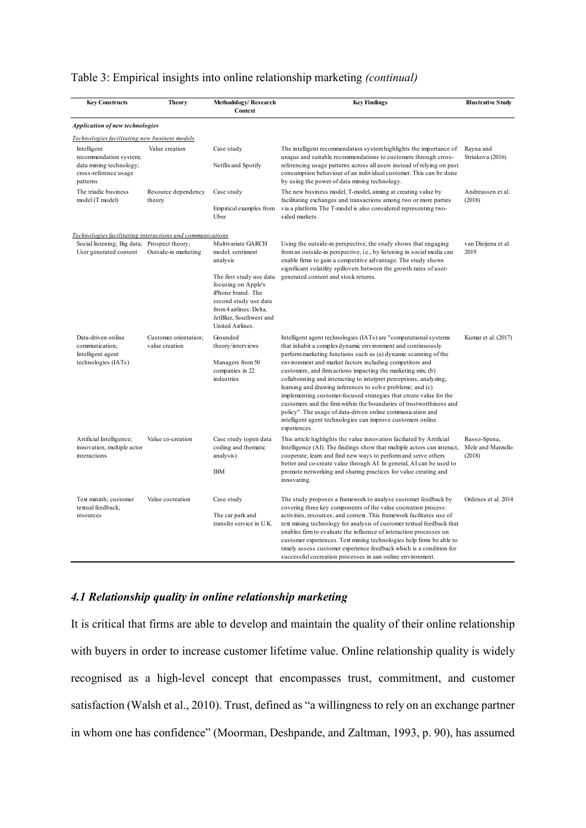## Table 3: Empirical insights into online relationship marketing *(continual)*

| <b>Key Constructs</b>                                                                                 | <b>Theory</b>                           | Methodology/Research<br>Context                                                                                                                                                                                              | <b>Key Findings</b>                                                                                                                                                                                                                                                                                                                                                                                                                                                                                                                                                                                                                                                                                                                                          | <b>Illustrative Study</b>                   |
|-------------------------------------------------------------------------------------------------------|-----------------------------------------|------------------------------------------------------------------------------------------------------------------------------------------------------------------------------------------------------------------------------|--------------------------------------------------------------------------------------------------------------------------------------------------------------------------------------------------------------------------------------------------------------------------------------------------------------------------------------------------------------------------------------------------------------------------------------------------------------------------------------------------------------------------------------------------------------------------------------------------------------------------------------------------------------------------------------------------------------------------------------------------------------|---------------------------------------------|
| <b>Application of new technologies</b>                                                                |                                         |                                                                                                                                                                                                                              |                                                                                                                                                                                                                                                                                                                                                                                                                                                                                                                                                                                                                                                                                                                                                              |                                             |
| Technologies facilitating new business models                                                         |                                         |                                                                                                                                                                                                                              |                                                                                                                                                                                                                                                                                                                                                                                                                                                                                                                                                                                                                                                                                                                                                              |                                             |
| Intelligent<br>recommendation system;<br>data mining technology;<br>cross-reference usage<br>patterns | Value creation                          | Case study<br>Netflix and Spotify                                                                                                                                                                                            | The intelligent recommendation system highlights the importance of<br>unique and suitable recommendations to customers through cross-<br>referencing usage patterns across all users instead of relying on past<br>consumption behaviour of an individual customer. This can be done<br>by using the power of data mining technology.                                                                                                                                                                                                                                                                                                                                                                                                                        | Rayna and<br>Striukova (2016)               |
| The triadic business<br>model (T model)                                                               | Resource dependency<br>theory           | Case study<br>Empirical examples from<br>Uber                                                                                                                                                                                | The new business model, T-model, aiming at creating value by<br>facilitating exchanges and transactions among two or more parties<br>via a platform. The T-model is also considered representing two-<br>sided markets.                                                                                                                                                                                                                                                                                                                                                                                                                                                                                                                                      | Andreassen et al.<br>(2018)                 |
| Technologies facilitating interactions and communications                                             |                                         |                                                                                                                                                                                                                              |                                                                                                                                                                                                                                                                                                                                                                                                                                                                                                                                                                                                                                                                                                                                                              |                                             |
| Social listening; Big data; Prospect theory;<br>User generated content                                | Outside-in marketing                    | Multivariate GARCH<br>model: sentiment<br>analysis<br>The first study use data<br>focusing on Apple's<br>iPhone brand. The<br>second study use data<br>from 4 airlines: Delta,<br>JetBlue, Southwest and<br>United Airlines. | Using the outside-in perspective, the study shows that engaging<br>from an outside-in perspective, i.e., by listening in social media can<br>enable firms to gain a competitive advantage. The study shows<br>significant volatility spillovers between the growth rates of user-<br>generated content and stock returns.                                                                                                                                                                                                                                                                                                                                                                                                                                    | van Dieijena et al.<br>2019                 |
| Data-driven online<br>communication;<br>Intelligent agent<br>technologies (IATs)                      | Customer orientation;<br>value creation | Grounded<br>theory/interviews<br>Managers from 50<br>companies in 22<br>industries                                                                                                                                           | Intelligent agent technologies (IATs) are "computational systems<br>that inhabit a complex dynamic environment and continuously<br>perform marketing functions such as (a) dynamic scanning of the<br>environment and market factors including competitors and<br>customers, and firm actions impacting the marketing mix; (b)<br>collaborating and interacting to interpret perceptions, analyzing,<br>learning and drawing inferences to solve problems; and (c)<br>implementing customer-focused strategies that create value for the<br>customers and the firm within the boundaries of trustworthiness and<br>policy". The usage of data-driven online communication and<br>intelligent agent technologies can improve customers online<br>experiences. | Kumar et al. (2017)                         |
| Artificial Intelligence;<br>innovation, multiple actor<br>interactions                                | Value co-creation                       | Case study (open data<br>coding and thematic<br>analysis)<br><b>IBM</b>                                                                                                                                                      | This article highlights the value innovation faciliated by Artificial<br>Intelligence (AI). The findings show that multiple actors can interact,<br>cooperate, learn and find new ways to perform and serve others<br>better and co-create value through AI. In general, AI can be used to<br>promote networking and sharing practices for value creating and<br>innovating.                                                                                                                                                                                                                                                                                                                                                                                 | Russo-Spena,<br>Mele and Marzullo<br>(2018) |
| Text mininh; customer<br>textual feedback;<br>resources                                               | Value cocreation                        | Case study<br>The car park and<br>transfer service in U.K.                                                                                                                                                                   | The study proposes a framework to analyse customer feedback by<br>covering three key components of the value cocreation process:<br>activities, resources, and context. This framework facilitates use of<br>text mining technology for analysis of customer textual feedback that<br>enables firm to evaluate the influence of interaction processes on<br>customer experiences. Text mining technologies help firms be able to<br>timely assess customer experience feedback which is a condition for<br>successful cocreation processes in aan online environment.                                                                                                                                                                                        | Ordenes et al. 2014                         |

## *4.1 Relationship quality in online relationship marketing*

It is critical that firms are able to develop and maintain the quality of their online relationship with buyers in order to increase customer lifetime value. Online relationship quality is widely recognised as a high-level concept that encompasses trust, commitment, and customer satisfaction (Walsh et al., 2010). Trust, defined as "a willingness to rely on an exchange partner in whom one has confidence" (Moorman, Deshpande, and Zaltman, 1993, p. 90), has assumed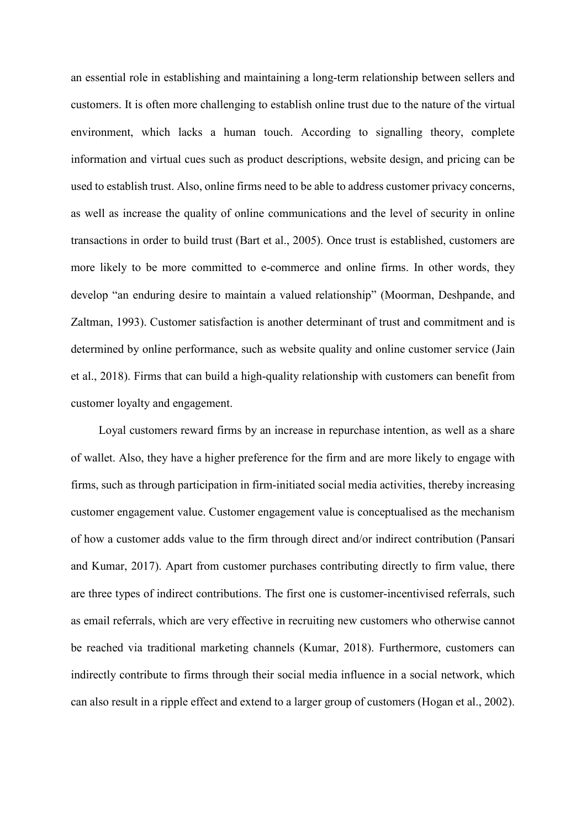an essential role in establishing and maintaining a long-term relationship between sellers and customers. It is often more challenging to establish online trust due to the nature of the virtual environment, which lacks a human touch. According to signalling theory, complete information and virtual cues such as product descriptions, website design, and pricing can be used to establish trust. Also, online firms need to be able to address customer privacy concerns, as well as increase the quality of online communications and the level of security in online transactions in order to build trust (Bart et al., 2005). Once trust is established, customers are more likely to be more committed to e-commerce and online firms. In other words, they develop "an enduring desire to maintain a valued relationship" (Moorman, Deshpande, and Zaltman, 1993). Customer satisfaction is another determinant of trust and commitment and is determined by online performance, such as website quality and online customer service (Jain et al., 2018). Firms that can build a high-quality relationship with customers can benefit from customer loyalty and engagement.

Loyal customers reward firms by an increase in repurchase intention, as well as a share of wallet. Also, they have a higher preference for the firm and are more likely to engage with firms, such as through participation in firm-initiated social media activities, thereby increasing customer engagement value. Customer engagement value is conceptualised as the mechanism of how a customer adds value to the firm through direct and/or indirect contribution (Pansari and Kumar, 2017). Apart from customer purchases contributing directly to firm value, there are three types of indirect contributions. The first one is customer-incentivised referrals, such as email referrals, which are very effective in recruiting new customers who otherwise cannot be reached via traditional marketing channels (Kumar, 2018). Furthermore, customers can indirectly contribute to firms through their social media influence in a social network, which can also result in a ripple effect and extend to a larger group of customers (Hogan et al., 2002).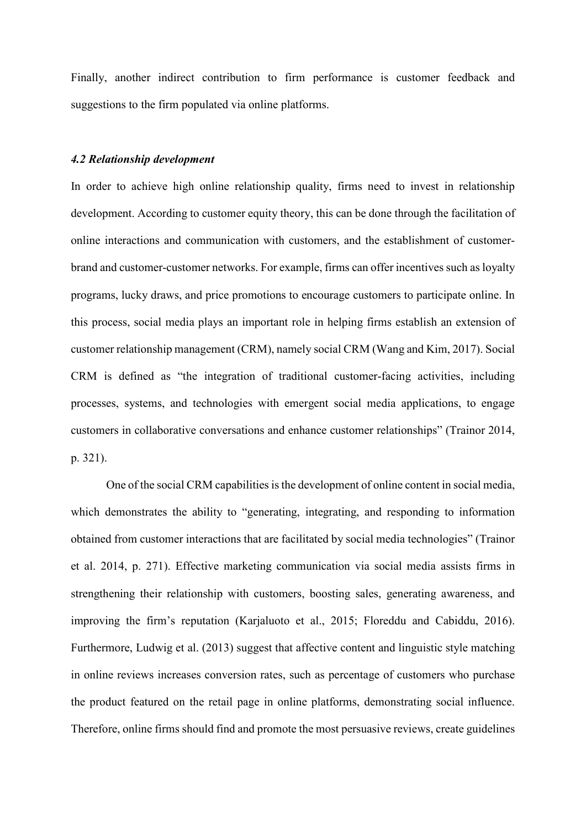Finally, another indirect contribution to firm performance is customer feedback and suggestions to the firm populated via online platforms.

#### *4.2 Relationship development*

In order to achieve high online relationship quality, firms need to invest in relationship development. According to customer equity theory, this can be done through the facilitation of online interactions and communication with customers, and the establishment of customerbrand and customer-customer networks. For example, firms can offer incentives such as loyalty programs, lucky draws, and price promotions to encourage customers to participate online. In this process, social media plays an important role in helping firms establish an extension of customer relationship management (CRM), namely social CRM (Wang and Kim, 2017). Social CRM is defined as "the integration of traditional customer-facing activities, including processes, systems, and technologies with emergent social media applications, to engage customers in collaborative conversations and enhance customer relationships" (Trainor 2014, p. 321).

One of the social CRM capabilities is the development of online content in social media, which demonstrates the ability to "generating, integrating, and responding to information obtained from customer interactions that are facilitated by social media technologies" (Trainor et al. 2014, p. 271). Effective marketing communication via social media assists firms in strengthening their relationship with customers, boosting sales, generating awareness, and improving the firm's reputation (Karjaluoto et al., 2015; Floreddu and Cabiddu, 2016). Furthermore, Ludwig et al. (2013) suggest that affective content and linguistic style matching in online reviews increases conversion rates, such as percentage of customers who purchase the product featured on the retail page in online platforms, demonstrating social influence. Therefore, online firms should find and promote the most persuasive reviews, create guidelines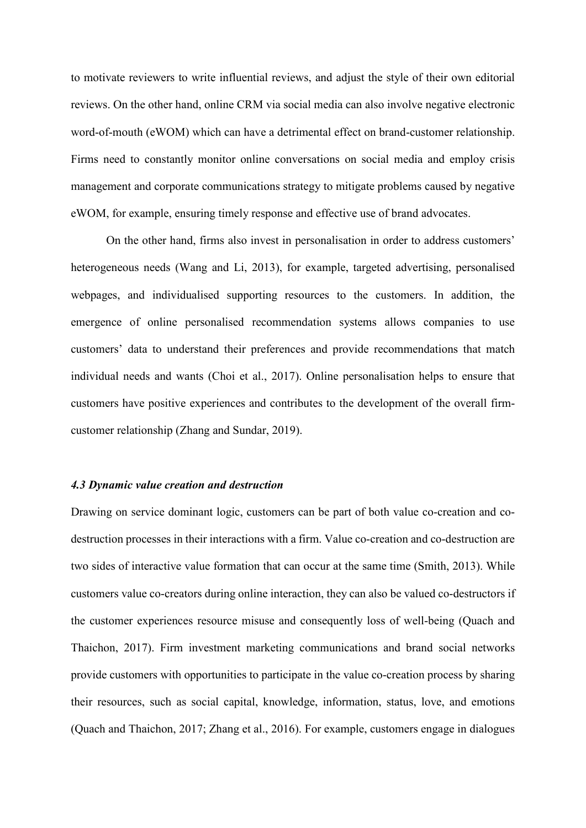to motivate reviewers to write influential reviews, and adjust the style of their own editorial reviews. On the other hand, online CRM via social media can also involve negative electronic word-of-mouth (eWOM) which can have a detrimental effect on brand-customer relationship. Firms need to constantly monitor online conversations on social media and employ crisis management and corporate communications strategy to mitigate problems caused by negative eWOM, for example, ensuring timely response and effective use of brand advocates.

On the other hand, firms also invest in personalisation in order to address customers' heterogeneous needs (Wang and Li, 2013), for example, targeted advertising, personalised webpages, and individualised supporting resources to the customers. In addition, the emergence of online personalised recommendation systems allows companies to use customers' data to understand their preferences and provide recommendations that match individual needs and wants (Choi et al., 2017). Online personalisation helps to ensure that customers have positive experiences and contributes to the development of the overall firmcustomer relationship (Zhang and Sundar, 2019).

#### *4.3 Dynamic value creation and destruction*

Drawing on service dominant logic, customers can be part of both value co-creation and codestruction processes in their interactions with a firm. Value co-creation and co-destruction are two sides of interactive value formation that can occur at the same time (Smith, 2013). While customers value co-creators during online interaction, they can also be valued co-destructors if the customer experiences resource misuse and consequently loss of well-being (Quach and Thaichon, 2017). Firm investment marketing communications and brand social networks provide customers with opportunities to participate in the value co-creation process by sharing their resources, such as social capital, knowledge, information, status, love, and emotions (Quach and Thaichon, 2017; Zhang et al., 2016). For example, customers engage in dialogues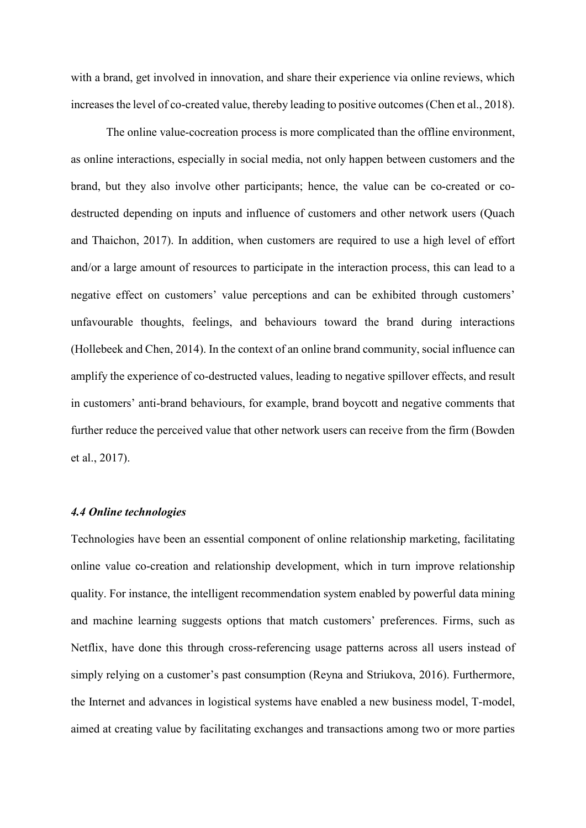with a brand, get involved in innovation, and share their experience via online reviews, which increases the level of co-created value, thereby leading to positive outcomes (Chen et al., 2018).

The online value-cocreation process is more complicated than the offline environment, as online interactions, especially in social media, not only happen between customers and the brand, but they also involve other participants; hence, the value can be co-created or codestructed depending on inputs and influence of customers and other network users (Quach and Thaichon, 2017). In addition, when customers are required to use a high level of effort and/or a large amount of resources to participate in the interaction process, this can lead to a negative effect on customers' value perceptions and can be exhibited through customers' unfavourable thoughts, feelings, and behaviours toward the brand during interactions (Hollebeek and Chen, 2014). In the context of an online brand community, social influence can amplify the experience of co-destructed values, leading to negative spillover effects, and result in customers' anti-brand behaviours, for example, brand boycott and negative comments that further reduce the perceived value that other network users can receive from the firm (Bowden et al., 2017).

## *4.4 Online technologies*

Technologies have been an essential component of online relationship marketing, facilitating online value co-creation and relationship development, which in turn improve relationship quality. For instance, the intelligent recommendation system enabled by powerful data mining and machine learning suggests options that match customers' preferences. Firms, such as Netflix, have done this through cross-referencing usage patterns across all users instead of simply relying on a customer's past consumption (Reyna and Striukova, 2016). Furthermore, the Internet and advances in logistical systems have enabled a new business model, T-model, aimed at creating value by facilitating exchanges and transactions among two or more parties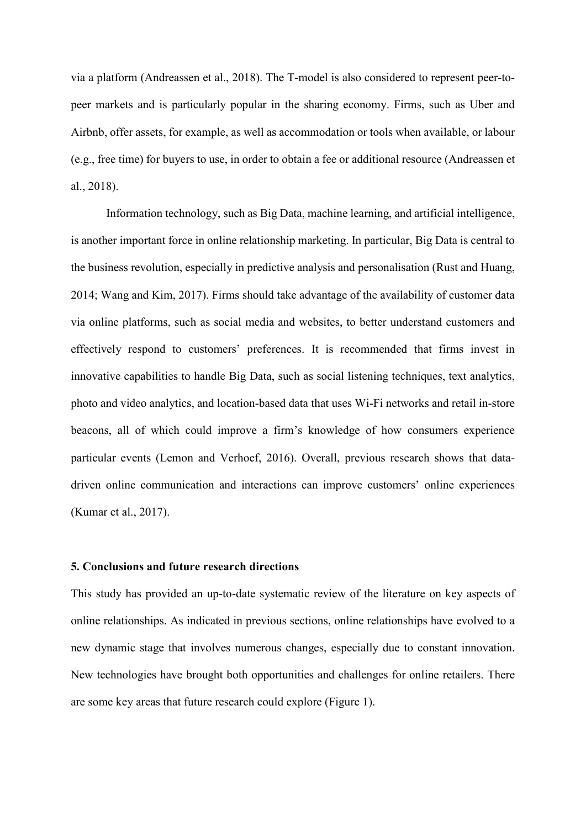via a platform (Andreassen et al., 2018). The T-model is also considered to represent peer-topeer markets and is particularly popular in the sharing economy. Firms, such as Uber and Airbnb, offer assets, for example, as well as accommodation or tools when available, or labour (e.g., free time) for buyers to use, in order to obtain a fee or additional resource (Andreassen et al., 2018).

Information technology, such as Big Data, machine learning, and artificial intelligence, is another important force in online relationship marketing. In particular, Big Data is central to the business revolution, especially in predictive analysis and personalisation (Rust and Huang, 2014; Wang and Kim, 2017). Firms should take advantage of the availability of customer data via online platforms, such as social media and websites, to better understand customers and effectively respond to customers' preferences. It is recommended that firms invest in innovative capabilities to handle Big Data, such as social listening techniques, text analytics, photo and video analytics, and location-based data that uses Wi-Fi networks and retail in-store beacons, all of which could improve a firm's knowledge of how consumers experience particular events (Lemon and Verhoef, 2016). Overall, previous research shows that datadriven online communication and interactions can improve customers' online experiences (Kumar et al., 2017).

## **5. Conclusions and future research directions**

This study has provided an up-to-date systematic review of the literature on key aspects of online relationships. As indicated in previous sections, online relationships have evolved to a new dynamic stage that involves numerous changes, especially due to constant innovation. New technologies have brought both opportunities and challenges for online retailers. There are some key areas that future research could explore (Figure 1).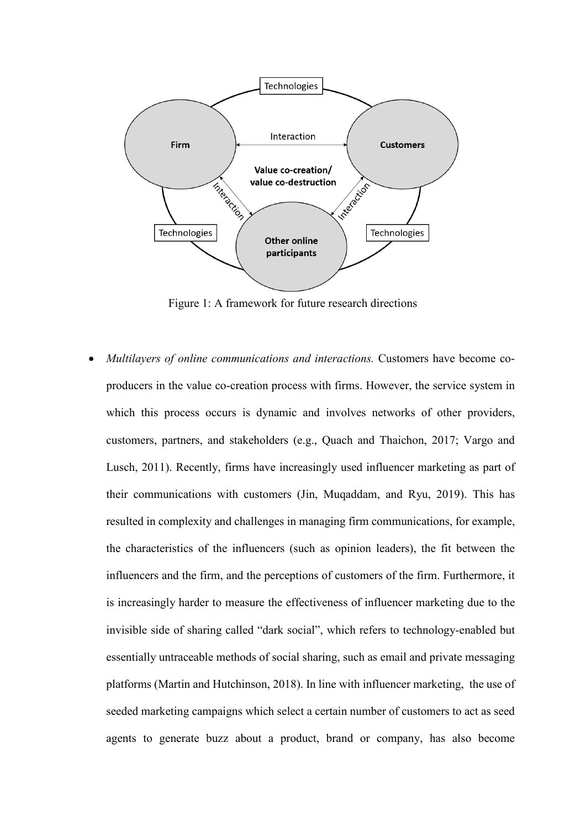

Figure 1: A framework for future research directions

• *Multilayers of online communications and interactions.* Customers have become coproducers in the value co-creation process with firms. However, the service system in which this process occurs is dynamic and involves networks of other providers, customers, partners, and stakeholders (e.g., Quach and Thaichon, 2017; Vargo and Lusch, 2011). Recently, firms have increasingly used influencer marketing as part of their communications with customers (Jin, Muqaddam, and Ryu, 2019). This has resulted in complexity and challenges in managing firm communications, for example, the characteristics of the influencers (such as opinion leaders), the fit between the influencers and the firm, and the perceptions of customers of the firm. Furthermore, it is increasingly harder to measure the effectiveness of influencer marketing due to the invisible side of sharing called "dark social", which refers to technology-enabled but essentially untraceable methods of social sharing, such as email and private messaging platforms (Martin and Hutchinson, 2018). In line with influencer marketing, the use of seeded marketing campaigns which select a certain number of customers to act as seed agents to generate buzz about a product, brand or company, has also become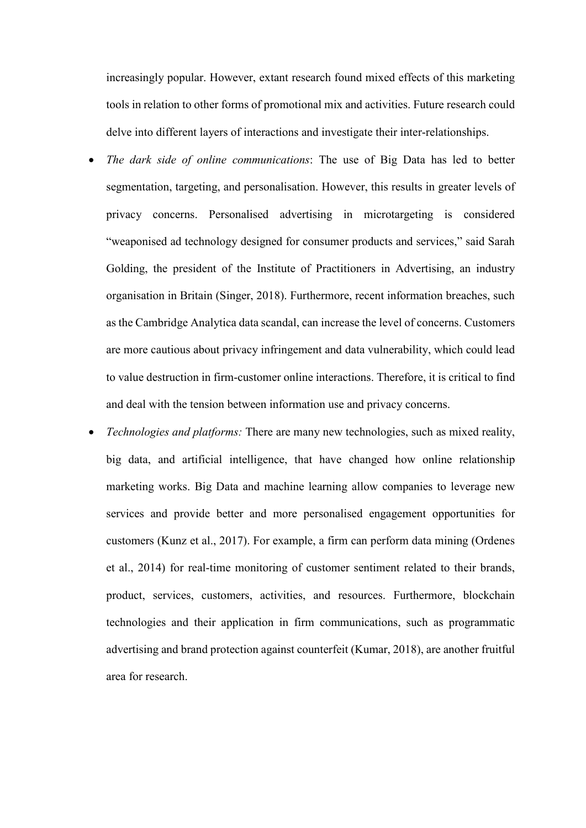increasingly popular. However, extant research found mixed effects of this marketing tools in relation to other forms of promotional mix and activities. Future research could delve into different layers of interactions and investigate their inter-relationships.

- *The dark side of online communications*: The use of Big Data has led to better segmentation, targeting, and personalisation. However, this results in greater levels of privacy concerns. Personalised advertising in microtargeting is considered "weaponised ad technology designed for consumer products and services," said Sarah Golding, the president of the Institute of Practitioners in Advertising, an industry organisation in Britain (Singer, 2018). Furthermore, recent information breaches, such as the Cambridge Analytica data scandal, can increase the level of concerns. Customers are more cautious about privacy infringement and data vulnerability, which could lead to value destruction in firm-customer online interactions. Therefore, it is critical to find and deal with the tension between information use and privacy concerns.
- *Technologies and platforms:* There are many new technologies, such as mixed reality, big data, and artificial intelligence, that have changed how online relationship marketing works. Big Data and machine learning allow companies to leverage new services and provide better and more personalised engagement opportunities for customers (Kunz et al., 2017). For example, a firm can perform data mining (Ordenes et al., 2014) for real-time monitoring of customer sentiment related to their brands, product, services, customers, activities, and resources. Furthermore, blockchain technologies and their application in firm communications, such as programmatic advertising and brand protection against counterfeit (Kumar, 2018), are another fruitful area for research.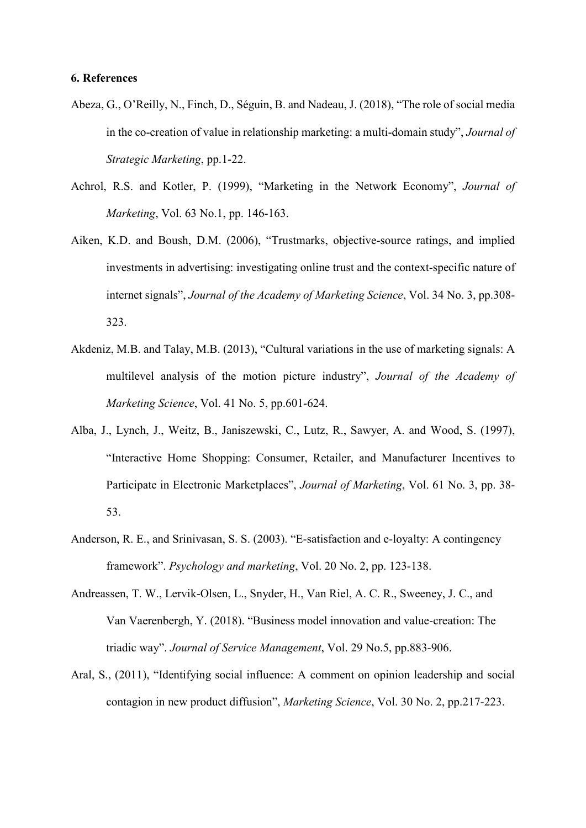#### **6. References**

- Abeza, G., O'Reilly, N., Finch, D., Séguin, B. and Nadeau, J. (2018), "The role of social media in the co-creation of value in relationship marketing: a multi-domain study", *Journal of Strategic Marketing*, pp.1-22.
- Achrol, R.S. and Kotler, P. (1999), "Marketing in the Network Economy", *Journal of Marketing*, Vol. 63 No.1, pp. 146-163.
- Aiken, K.D. and Boush, D.M. (2006), "Trustmarks, objective-source ratings, and implied investments in advertising: investigating online trust and the context-specific nature of internet signals", *Journal of the Academy of Marketing Science*, Vol. 34 No. 3, pp.308- 323.
- Akdeniz, M.B. and Talay, M.B. (2013), "Cultural variations in the use of marketing signals: A multilevel analysis of the motion picture industry", *Journal of the Academy of Marketing Science*, Vol. 41 No. 5, pp.601-624.
- Alba, J., Lynch, J., Weitz, B., Janiszewski, C., Lutz, R., Sawyer, A. and Wood, S. (1997), "Interactive Home Shopping: Consumer, Retailer, and Manufacturer Incentives to Participate in Electronic Marketplaces", *Journal of Marketing*, Vol. 61 No. 3, pp. 38- 53.
- Anderson, R. E., and Srinivasan, S. S. (2003). "E-satisfaction and e-loyalty: A contingency framework". *Psychology and marketing*, Vol. 20 No. 2, pp. 123-138.
- Andreassen, T. W., Lervik-Olsen, L., Snyder, H., Van Riel, A. C. R., Sweeney, J. C., and Van Vaerenbergh, Y. (2018). "Business model innovation and value-creation: The triadic way". *Journal of Service Management*, Vol. 29 No.5, pp.883-906.
- Aral, S., (2011), "Identifying social influence: A comment on opinion leadership and social contagion in new product diffusion", *Marketing Science*, Vol. 30 No. 2, pp.217-223.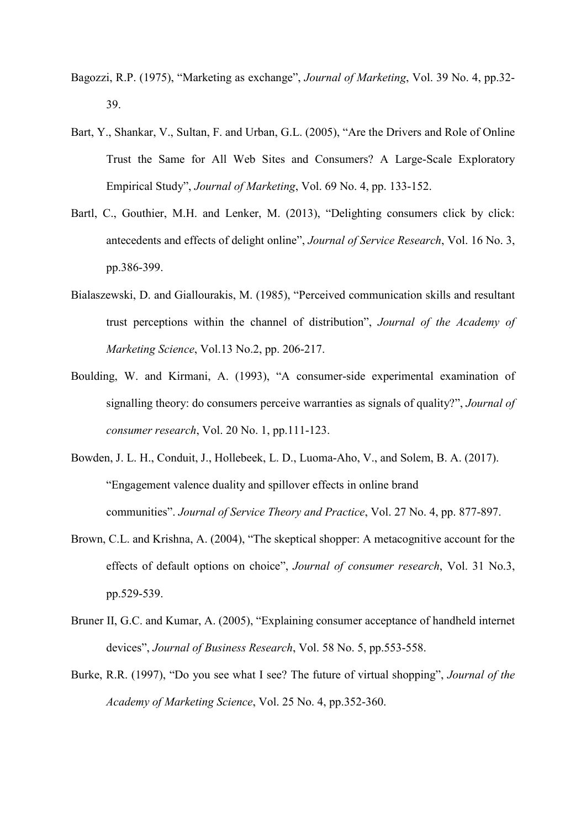- Bagozzi, R.P. (1975), "Marketing as exchange", *Journal of Marketing*, Vol. 39 No. 4, pp.32- 39.
- Bart, Y., Shankar, V., Sultan, F. and Urban, G.L. (2005), "Are the Drivers and Role of Online Trust the Same for All Web Sites and Consumers? A Large-Scale Exploratory Empirical Study", *Journal of Marketing*, Vol. 69 No. 4, pp. 133-152.
- Bartl, C., Gouthier, M.H. and Lenker, M. (2013), "Delighting consumers click by click: antecedents and effects of delight online", *Journal of Service Research*, Vol. 16 No. 3, pp.386-399.
- Bialaszewski, D. and Giallourakis, M. (1985), "Perceived communication skills and resultant trust perceptions within the channel of distribution", *Journal of the Academy of Marketing Science*, Vol.13 No.2, pp. 206-217.
- Boulding, W. and Kirmani, A. (1993), "A consumer-side experimental examination of signalling theory: do consumers perceive warranties as signals of quality?", *Journal of consumer research*, Vol. 20 No. 1, pp.111-123.
- Bowden, J. L. H., Conduit, J., Hollebeek, L. D., Luoma-Aho, V., and Solem, B. A. (2017). "Engagement valence duality and spillover effects in online brand communities". *Journal of Service Theory and Practice*, Vol. 27 No. 4, pp. 877-897.
- Brown, C.L. and Krishna, A. (2004), "The skeptical shopper: A metacognitive account for the effects of default options on choice", *Journal of consumer research*, Vol. 31 No.3, pp.529-539.
- Bruner II, G.C. and Kumar, A. (2005), "Explaining consumer acceptance of handheld internet devices", *Journal of Business Research*, Vol. 58 No. 5, pp.553-558.
- Burke, R.R. (1997), "Do you see what I see? The future of virtual shopping", *Journal of the Academy of Marketing Science*, Vol. 25 No. 4, pp.352-360.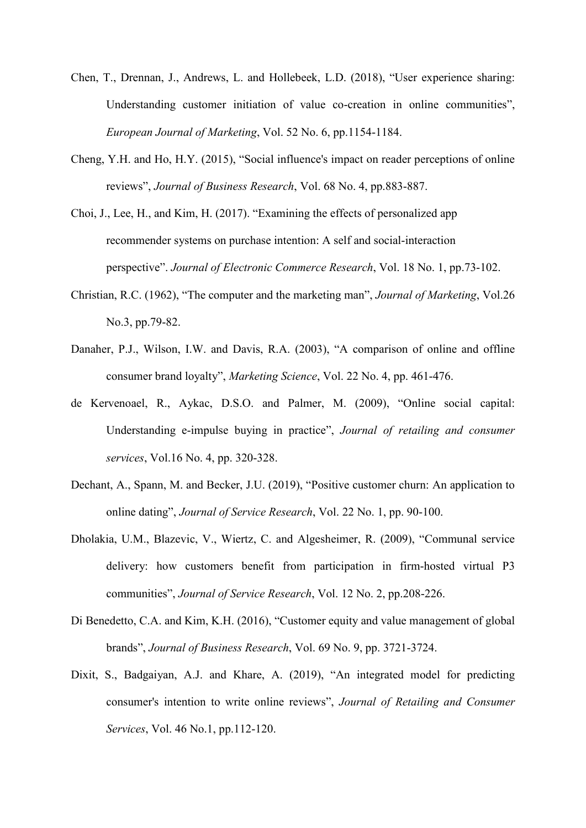- Chen, T., Drennan, J., Andrews, L. and Hollebeek, L.D. (2018), "User experience sharing: Understanding customer initiation of value co-creation in online communities", *European Journal of Marketing*, Vol. 52 No. 6, pp.1154-1184.
- Cheng, Y.H. and Ho, H.Y. (2015), "Social influence's impact on reader perceptions of online reviews", *Journal of Business Research*, Vol. 68 No. 4, pp.883-887.
- Choi, J., Lee, H., and Kim, H. (2017). "Examining the effects of personalized app recommender systems on purchase intention: A self and social-interaction perspective". *Journal of Electronic Commerce Research*, Vol. 18 No. 1, pp.73-102.
- Christian, R.C. (1962), "The computer and the marketing man", *Journal of Marketing*, Vol.26 No.3, pp.79-82.
- Danaher, P.J., Wilson, I.W. and Davis, R.A. (2003), "A comparison of online and offline consumer brand loyalty", *Marketing Science*, Vol. 22 No. 4, pp. 461-476.
- de Kervenoael, R., Aykac, D.S.O. and Palmer, M. (2009), "Online social capital: Understanding e-impulse buying in practice", *Journal of retailing and consumer services*, Vol.16 No. 4, pp. 320-328.
- Dechant, A., Spann, M. and Becker, J.U. (2019), "Positive customer churn: An application to online dating", *Journal of Service Research*, Vol. 22 No. 1, pp. 90-100.
- Dholakia, U.M., Blazevic, V., Wiertz, C. and Algesheimer, R. (2009), "Communal service delivery: how customers benefit from participation in firm-hosted virtual P3 communities", *Journal of Service Research*, Vol. 12 No. 2, pp.208-226.
- Di Benedetto, C.A. and Kim, K.H. (2016), "Customer equity and value management of global brands", *Journal of Business Research*, Vol. 69 No. 9, pp. 3721-3724.
- Dixit, S., Badgaiyan, A.J. and Khare, A. (2019), "An integrated model for predicting consumer's intention to write online reviews", *Journal of Retailing and Consumer Services*, Vol. 46 No.1, pp.112-120.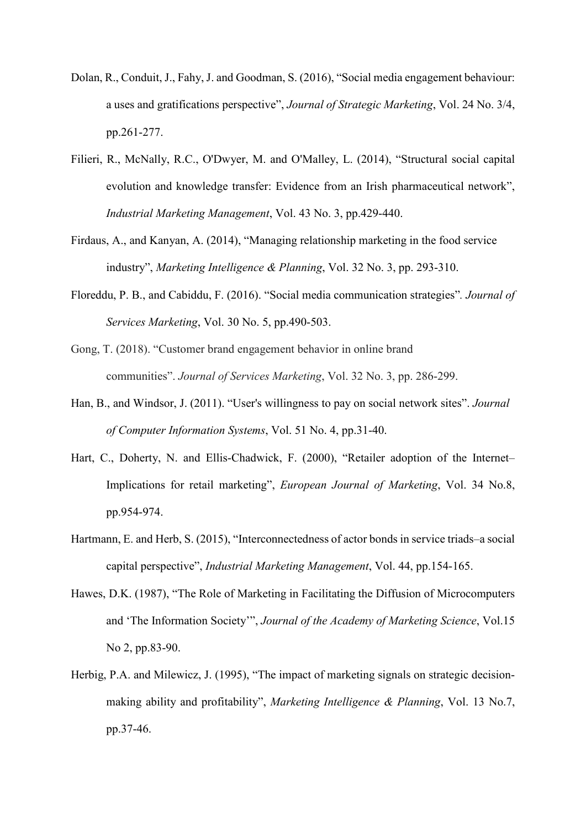- Dolan, R., Conduit, J., Fahy, J. and Goodman, S. (2016), "Social media engagement behaviour: a uses and gratifications perspective", *Journal of Strategic Marketing*, Vol. 24 No. 3/4, pp.261-277.
- Filieri, R., McNally, R.C., O'Dwyer, M. and O'Malley, L. (2014), "Structural social capital evolution and knowledge transfer: Evidence from an Irish pharmaceutical network", *Industrial Marketing Management*, Vol. 43 No. 3, pp.429-440.
- Firdaus, A., and Kanyan, A. (2014), "Managing relationship marketing in the food service industry", *Marketing Intelligence & Planning*, Vol. 32 No. 3, pp. 293-310.
- Floreddu, P. B., and Cabiddu, F. (2016). "Social media communication strategies"*. Journal of Services Marketing*, Vol. 30 No. 5, pp.490-503.
- Gong, T. (2018). "Customer brand engagement behavior in online brand communities". *Journal of Services Marketing*, Vol. 32 No. 3, pp. 286-299.
- Han, B., and Windsor, J. (2011). "User's willingness to pay on social network sites". *Journal of Computer Information Systems*, Vol. 51 No. 4, pp.31-40.
- Hart, C., Doherty, N. and Ellis-Chadwick, F. (2000), "Retailer adoption of the Internet– Implications for retail marketing", *European Journal of Marketing*, Vol. 34 No.8, pp.954-974.
- Hartmann, E. and Herb, S. (2015), "Interconnectedness of actor bonds in service triads–a social capital perspective", *Industrial Marketing Management*, Vol. 44, pp.154-165.
- Hawes, D.K. (1987), "The Role of Marketing in Facilitating the Diffusion of Microcomputers and 'The Information Society'", *Journal of the Academy of Marketing Science*, Vol.15 No 2, pp.83-90.
- Herbig, P.A. and Milewicz, J. (1995), "The impact of marketing signals on strategic decisionmaking ability and profitability", *Marketing Intelligence & Planning*, Vol. 13 No.7, pp.37-46.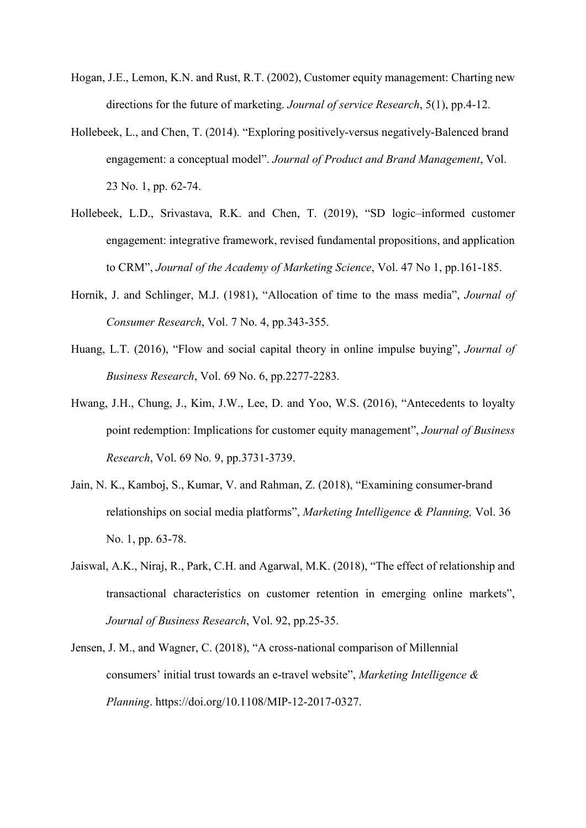- Hogan, J.E., Lemon, K.N. and Rust, R.T. (2002), Customer equity management: Charting new directions for the future of marketing. *Journal of service Research*, 5(1), pp.4-12.
- Hollebeek, L., and Chen, T. (2014). "Exploring positively-versus negatively-Balenced brand engagement: a conceptual model". *Journal of Product and Brand Management*, Vol. 23 No. 1, pp. 62-74.
- Hollebeek, L.D., Srivastava, R.K. and Chen, T. (2019), "SD logic–informed customer engagement: integrative framework, revised fundamental propositions, and application to CRM", *Journal of the Academy of Marketing Science*, Vol. 47 No 1, pp.161-185.
- Hornik, J. and Schlinger, M.J. (1981), "Allocation of time to the mass media", *Journal of Consumer Research*, Vol. 7 No. 4, pp.343-355.
- Huang, L.T. (2016), "Flow and social capital theory in online impulse buying", *Journal of Business Research*, Vol. 69 No. 6, pp.2277-2283.
- Hwang, J.H., Chung, J., Kim, J.W., Lee, D. and Yoo, W.S. (2016), "Antecedents to loyalty point redemption: Implications for customer equity management", *Journal of Business Research*, Vol. 69 No. 9, pp.3731-3739.
- Jain, N. K., Kamboj, S., Kumar, V. and Rahman, Z. (2018), "Examining consumer-brand relationships on social media platforms", *Marketing Intelligence & Planning,* Vol. 36 No. 1, pp. 63-78.
- Jaiswal, A.K., Niraj, R., Park, C.H. and Agarwal, M.K. (2018), "The effect of relationship and transactional characteristics on customer retention in emerging online markets", *Journal of Business Research*, Vol. 92, pp.25-35.
- Jensen, J. M., and Wagner, C. (2018), "A cross-national comparison of Millennial consumers' initial trust towards an e-travel website", *Marketing Intelligence & Planning*. https://doi.org/10.1108/MIP-12-2017-0327.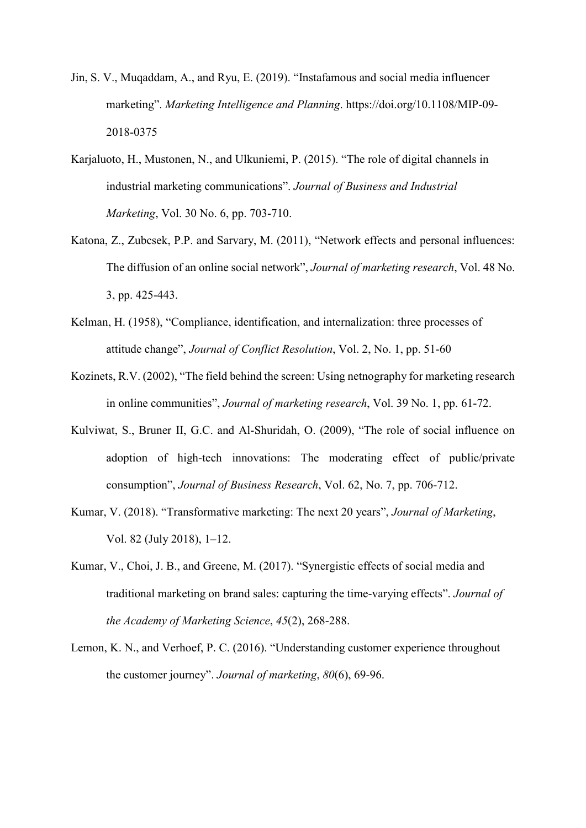- Jin, S. V., Muqaddam, A., and Ryu, E. (2019). "Instafamous and social media influencer marketing". *Marketing Intelligence and Planning*. https://doi.org/10.1108/MIP-09- 2018-0375
- Karjaluoto, H., Mustonen, N., and Ulkuniemi, P. (2015). "The role of digital channels in industrial marketing communications". *Journal of Business and Industrial Marketing*, Vol. 30 No. 6, pp. 703-710.
- Katona, Z., Zubcsek, P.P. and Sarvary, M. (2011), "Network effects and personal influences: The diffusion of an online social network", *Journal of marketing research*, Vol. 48 No. 3, pp. 425-443.
- Kelman, H. (1958), "Compliance, identification, and internalization: three processes of attitude change", *Journal of Conflict Resolution*, Vol. 2, No. 1, pp. 51-60
- Kozinets, R.V. (2002), "The field behind the screen: Using netnography for marketing research in online communities", *Journal of marketing research*, Vol. 39 No. 1, pp. 61-72.
- Kulviwat, S., Bruner II, G.C. and Al-Shuridah, O. (2009), "The role of social influence on adoption of high-tech innovations: The moderating effect of public/private consumption", *Journal of Business Research*, Vol. 62, No. 7, pp. 706-712.
- Kumar, V. (2018). "Transformative marketing: The next 20 years", *Journal of Marketing*, Vol. 82 (July 2018), 1–12.
- Kumar, V., Choi, J. B., and Greene, M. (2017). "Synergistic effects of social media and traditional marketing on brand sales: capturing the time-varying effects". *Journal of the Academy of Marketing Science*, *45*(2), 268-288.
- Lemon, K. N., and Verhoef, P. C. (2016). "Understanding customer experience throughout the customer journey". *Journal of marketing*, *80*(6), 69-96.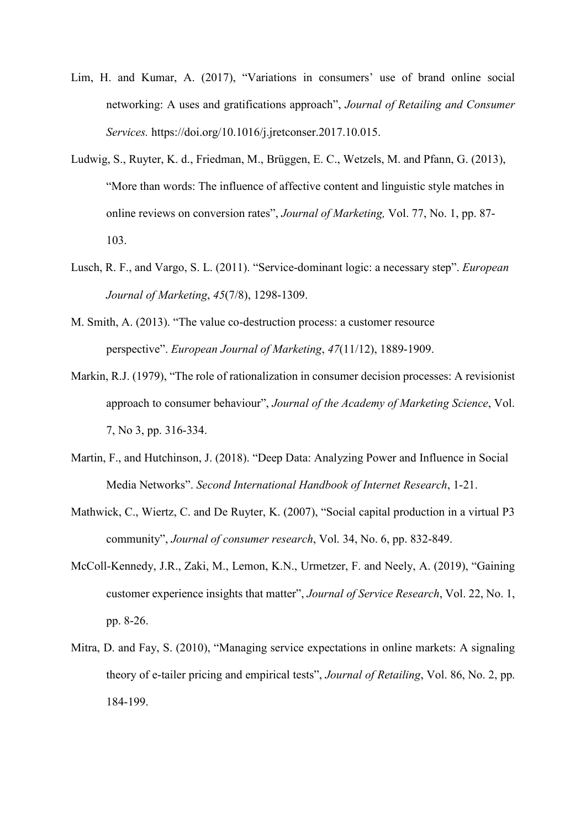- Lim, H. and Kumar, A. (2017), "Variations in consumers' use of brand online social networking: A uses and gratifications approach", *Journal of Retailing and Consumer Services.* [https://doi.org/10.1016/j.jretconser.2017.10.015.](https://doi.org/10.1016/j.jretconser.2017.10.015)
- Ludwig, S., Ruyter, K. d., Friedman, M., Brüggen, E. C., Wetzels, M. and Pfann, G. (2013), "More than words: The influence of affective content and linguistic style matches in online reviews on conversion rates", *Journal of Marketing,* Vol. 77, No. 1, pp. 87- 103.
- Lusch, R. F., and Vargo, S. L. (2011). "Service-dominant logic: a necessary step". *European Journal of Marketing*, *45*(7/8), 1298-1309.
- M. Smith, A. (2013). "The value co-destruction process: a customer resource perspective". *European Journal of Marketing*, *47*(11/12), 1889-1909.
- Markin, R.J. (1979), "The role of rationalization in consumer decision processes: A revisionist approach to consumer behaviour", *Journal of the Academy of Marketing Science*, Vol. 7, No 3, pp. 316-334.
- Martin, F., and Hutchinson, J. (2018). "Deep Data: Analyzing Power and Influence in Social Media Networks". *Second International Handbook of Internet Research*, 1-21.
- Mathwick, C., Wiertz, C. and De Ruyter, K. (2007), "Social capital production in a virtual P3 community", *Journal of consumer research*, Vol. 34, No. 6, pp. 832-849.
- McColl-Kennedy, J.R., Zaki, M., Lemon, K.N., Urmetzer, F. and Neely, A. (2019), "Gaining customer experience insights that matter", *Journal of Service Research*, Vol. 22, No. 1, pp. 8-26.
- Mitra, D. and Fay, S. (2010), "Managing service expectations in online markets: A signaling theory of e-tailer pricing and empirical tests", *Journal of Retailing*, Vol. 86, No. 2, pp. 184-199.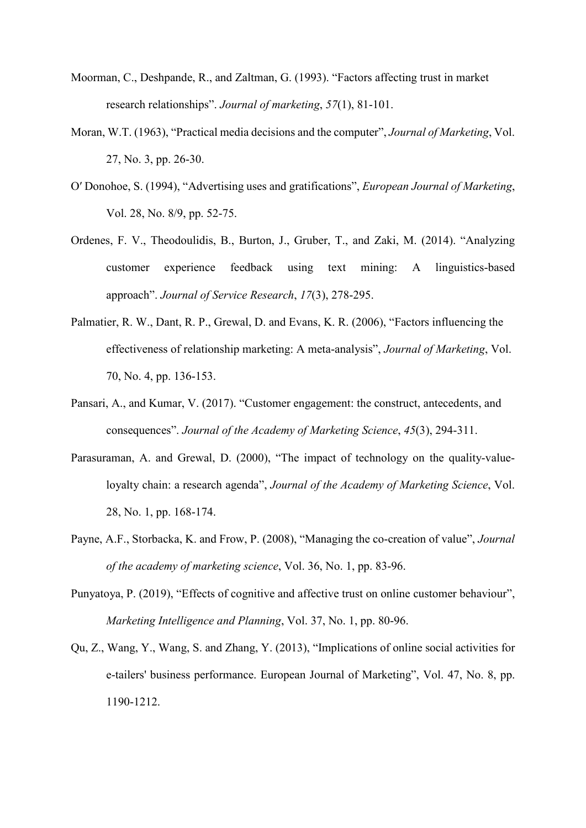- Moorman, C., Deshpande, R., and Zaltman, G. (1993). "Factors affecting trust in market research relationships". *Journal of marketing*, *57*(1), 81-101.
- Moran, W.T. (1963), "Practical media decisions and the computer", *Journal of Marketing*, Vol. 27, No. 3, pp. 26-30.
- O′ Donohoe, S. (1994), "Advertising uses and gratifications", *European Journal of Marketing*, Vol. 28, No. 8/9, pp. 52-75.
- Ordenes, F. V., Theodoulidis, B., Burton, J., Gruber, T., and Zaki, M. (2014). "Analyzing customer experience feedback using text mining: A linguistics-based approach". *Journal of Service Research*, *17*(3), 278-295.
- Palmatier, R. W., Dant, R. P., Grewal, D. and Evans, K. R. (2006), "Factors influencing the effectiveness of relationship marketing: A meta-analysis", *Journal of Marketing*, Vol. 70, No. 4, pp. 136-153.
- Pansari, A., and Kumar, V. (2017). "Customer engagement: the construct, antecedents, and consequences". *Journal of the Academy of Marketing Science*, *45*(3), 294-311.
- Parasuraman, A. and Grewal, D. (2000), "The impact of technology on the quality-valueloyalty chain: a research agenda", *Journal of the Academy of Marketing Science*, Vol. 28, No. 1, pp. 168-174.
- Payne, A.F., Storbacka, K. and Frow, P. (2008), "Managing the co-creation of value", *Journal of the academy of marketing science*, Vol. 36, No. 1, pp. 83-96.
- Punyatoya, P. (2019), "Effects of cognitive and affective trust on online customer behaviour", *Marketing Intelligence and Planning*, Vol. 37, No. 1, pp. 80-96.
- Qu, Z., Wang, Y., Wang, S. and Zhang, Y. (2013), "Implications of online social activities for e-tailers' business performance. European Journal of Marketing", Vol. 47, No. 8, pp. 1190-1212.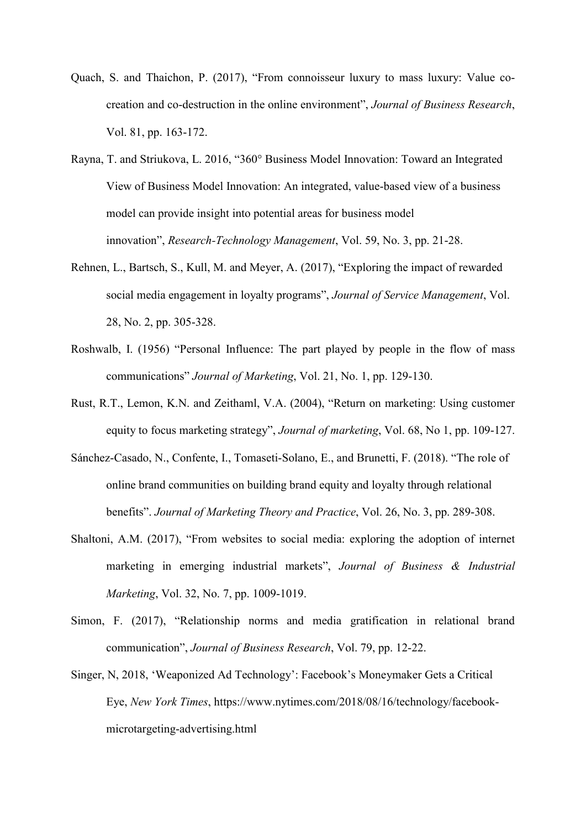- Quach, S. and Thaichon, P. (2017), "From connoisseur luxury to mass luxury: Value cocreation and co-destruction in the online environment", *Journal of Business Research*, Vol. 81, pp. 163-172.
- Rayna, T. and Striukova, L. 2016, "360° Business Model Innovation: Toward an Integrated View of Business Model Innovation: An integrated, value-based view of a business model can provide insight into potential areas for business model innovation", *Research-Technology Management*, Vol. 59, No. 3, pp. 21-28.
- Rehnen, L., Bartsch, S., Kull, M. and Meyer, A. (2017), "Exploring the impact of rewarded social media engagement in loyalty programs", *Journal of Service Management*, Vol. 28, No. 2, pp. 305-328.
- Roshwalb, I. (1956) "Personal Influence: The part played by people in the flow of mass communications" *Journal of Marketing*, Vol. 21, No. 1, pp. 129-130.
- Rust, R.T., Lemon, K.N. and Zeithaml, V.A. (2004), "Return on marketing: Using customer equity to focus marketing strategy", *Journal of marketing*, Vol. 68, No 1, pp. 109-127.
- Sánchez-Casado, N., Confente, I., Tomaseti-Solano, E., and Brunetti, F. (2018). "The role of online brand communities on building brand equity and loyalty through relational benefits". *Journal of Marketing Theory and Practice*, Vol. 26, No. 3, pp. 289-308.
- Shaltoni, A.M. (2017), "From websites to social media: exploring the adoption of internet marketing in emerging industrial markets", *Journal of Business & Industrial Marketing*, Vol. 32, No. 7, pp. 1009-1019.
- Simon, F. (2017), "Relationship norms and media gratification in relational brand communication", *Journal of Business Research*, Vol. 79, pp. 12-22.
- Singer, N, 2018, 'Weaponized Ad Technology': Facebook's Moneymaker Gets a Critical Eye, *New York Times*, https://www.nytimes.com/2018/08/16/technology/facebookmicrotargeting-advertising.html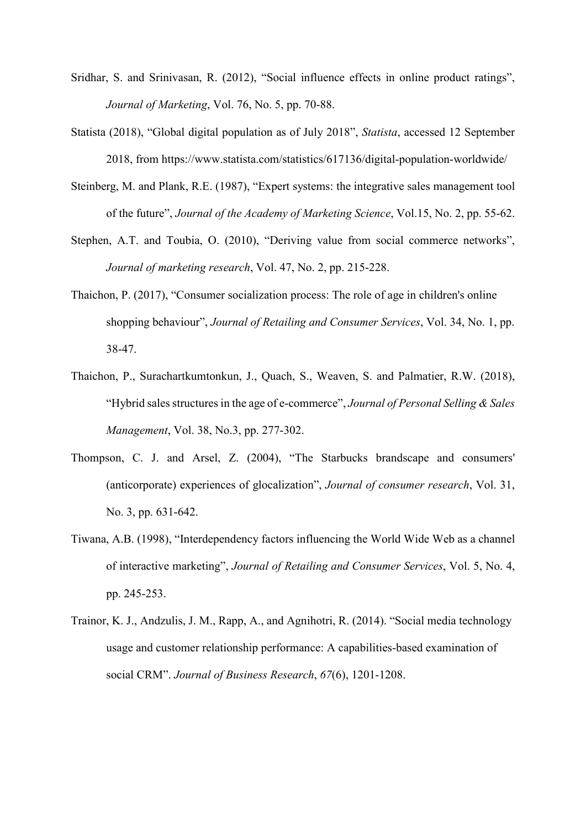- Sridhar, S. and Srinivasan, R. (2012), "Social influence effects in online product ratings", *Journal of Marketing*, Vol. 76, No. 5, pp. 70-88.
- Statista (2018), "Global digital population as of July 2018", *Statista*, accessed 12 September 2018, from<https://www.statista.com/statistics/617136/digital-population-worldwide/>
- Steinberg, M. and Plank, R.E. (1987), "Expert systems: the integrative sales management tool of the future", *Journal of the Academy of Marketing Science*, Vol.15, No. 2, pp. 55-62.
- Stephen, A.T. and Toubia, O. (2010), "Deriving value from social commerce networks", *Journal of marketing research*, Vol. 47, No. 2, pp. 215-228.
- Thaichon, P. (2017), "Consumer socialization process: The role of age in children's online shopping behaviour", *Journal of Retailing and Consumer Services*, Vol. 34, No. 1, pp. 38-47.
- Thaichon, P., Surachartkumtonkun, J., Quach, S., Weaven, S. and Palmatier, R.W. (2018), "Hybrid sales structures in the age of e-commerce", *Journal of Personal Selling & Sales Management*, Vol. 38, No.3, pp. 277-302.
- Thompson, C. J. and Arsel, Z. (2004), "The Starbucks brandscape and consumers' (anticorporate) experiences of glocalization", *Journal of consumer research*, Vol. 31, No. 3, pp. 631-642.
- Tiwana, A.B. (1998), "Interdependency factors influencing the World Wide Web as a channel of interactive marketing", *Journal of Retailing and Consumer Services*, Vol. 5, No. 4, pp. 245-253.
- Trainor, K. J., Andzulis, J. M., Rapp, A., and Agnihotri, R. (2014). "Social media technology usage and customer relationship performance: A capabilities-based examination of social CRM". *Journal of Business Research*, *67*(6), 1201-1208.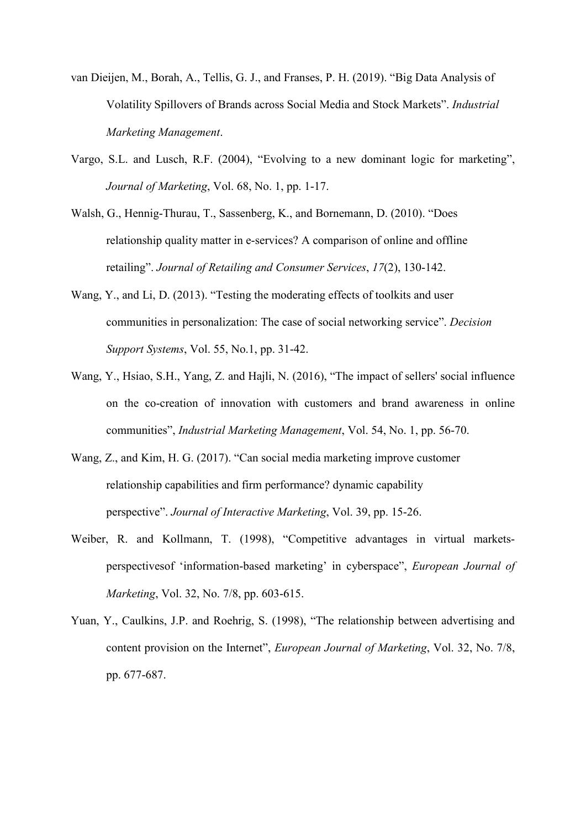- van Dieijen, M., Borah, A., Tellis, G. J., and Franses, P. H. (2019). "Big Data Analysis of Volatility Spillovers of Brands across Social Media and Stock Markets". *Industrial Marketing Management*.
- Vargo, S.L. and Lusch, R.F. (2004), "Evolving to a new dominant logic for marketing", *Journal of Marketing*, Vol. 68, No. 1, pp. 1-17.
- Walsh, G., Hennig-Thurau, T., Sassenberg, K., and Bornemann, D. (2010). "Does relationship quality matter in e-services? A comparison of online and offline retailing". *Journal of Retailing and Consumer Services*, *17*(2), 130-142.
- Wang, Y., and Li, D. (2013). "Testing the moderating effects of toolkits and user communities in personalization: The case of social networking service". *Decision Support Systems*, Vol. 55, No.1, pp. 31-42.
- Wang, Y., Hsiao, S.H., Yang, Z. and Hajli, N. (2016), "The impact of sellers' social influence on the co-creation of innovation with customers and brand awareness in online communities", *Industrial Marketing Management*, Vol. 54, No. 1, pp. 56-70.
- Wang, Z., and Kim, H. G. (2017). "Can social media marketing improve customer relationship capabilities and firm performance? dynamic capability perspective". *Journal of Interactive Marketing*, Vol. 39, pp. 15-26.
- Weiber, R. and Kollmann, T. (1998), "Competitive advantages in virtual marketsperspectivesof 'information-based marketing' in cyberspace", *European Journal of Marketing*, Vol. 32, No. 7/8, pp. 603-615.
- Yuan, Y., Caulkins, J.P. and Roehrig, S. (1998), "The relationship between advertising and content provision on the Internet", *European Journal of Marketing*, Vol. 32, No. 7/8, pp. 677-687.